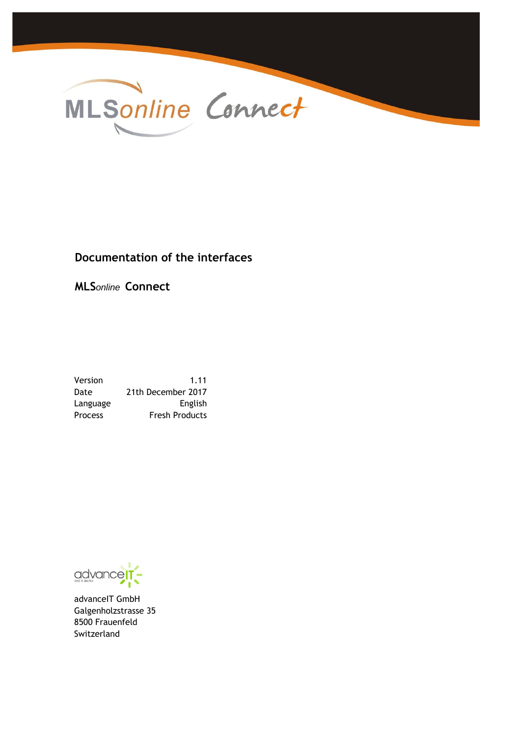

# **Documentation of the interfaces**

**MLS***online* **Connect**

Version 1.11 Date 21th December 2017 Language **English** Process Fresh Products

advance

advanceIT GmbH Galgenholzstrasse 35 8500 Frauenfeld Switzerland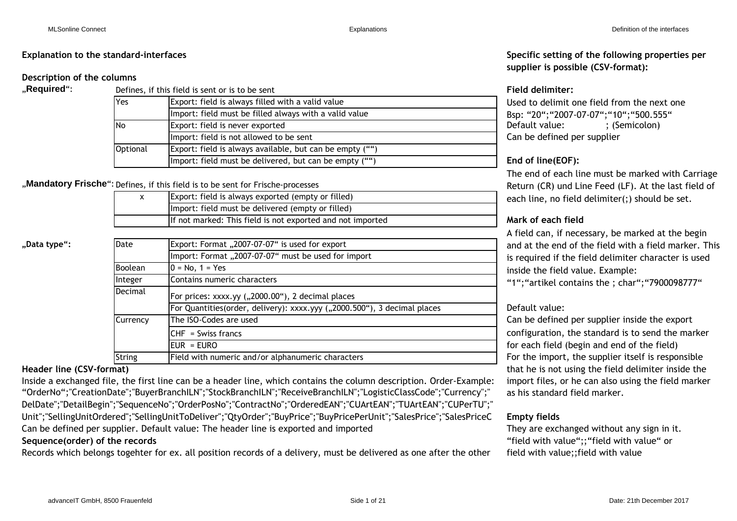## **Description of the columns**

| "Required": |          | Defines, if this field is sent or is to be sent          | <b>Field delimiter:</b>                |
|-------------|----------|----------------------------------------------------------|----------------------------------------|
|             | Yes      | Export: field is always filled with a valid value        | Used to delimit one field from the ne  |
|             |          | Import: field must be filled always with a valid value   | Bsp: "20"; "2007-07-07"; "10"; "500.5! |
|             | INo      | Export: field is never exported                          | Default value:<br>; (Semicolon)        |
|             |          | Import: field is not allowed to be sent                  | Can be defined per supplier            |
|             | Optional | Export: field is always available, but can be empty ("") |                                        |
|             |          | Import: field must be delivered, but can be empty ("")   | End of line(EOF):                      |

## "Mandatory Frische": Defines, if this field is to be sent for Frische-processes

| ᆺ | Export: field is always exported (empty or filled)         |
|---|------------------------------------------------------------|
|   | Import: field must be delivered (empty or filled)          |
|   | If not marked: This field is not exported and not imported |
|   |                                                            |

"Data type":

| Date           | Export: Format "2007-07-07" is used for export                           |  |  |  |  |  |
|----------------|--------------------------------------------------------------------------|--|--|--|--|--|
|                | Import: Format "2007-07-07" must be used for import                      |  |  |  |  |  |
| <b>Boolean</b> | $0 = No, 1 = Yes$                                                        |  |  |  |  |  |
| Integer        | Contains numeric characters                                              |  |  |  |  |  |
| Decimal        | For prices: xxxx.yy ("2000.00"), 2 decimal places                        |  |  |  |  |  |
|                | For Quantities(order, delivery): xxxx.yyy ("2000.500"), 3 decimal places |  |  |  |  |  |
| Currency       | The ISO-Codes are used                                                   |  |  |  |  |  |
|                | $CHF = Swiss francs$                                                     |  |  |  |  |  |
|                | $EUR = EURO$                                                             |  |  |  |  |  |
| <b>String</b>  | Field with numeric and/or alphanumeric characters                        |  |  |  |  |  |

Inside a exchanged file, the first line can be a header line, which contains the column description. Order-Example: import files, or he can also using the field marker Can be defined per supplier. Default value: The header line is exported and imported They are exchanged without any sign in it. **Sequence(order) of the records** "OrderNo";"CreationDate";"BuyerBranchILN";"StockBranchILN";"ReceiveBranchILN";"LogisticClassCode";"Currency";" DelDate";"DetailBegin";"SequenceNo";"OrderPosNo";"ContractNo";"OrderedEAN";"CUArtEAN";"TUArtEAN";"CUPerTU";" Unit";"SellingUnitOrdered";"SellingUnitToDeliver";"QtyOrder";"BuyPrice";"BuyPricePerUnit";"SalesPrice";"SalesPriceC

Records which belongs togehter for ex. all position records of a delivery, must be delivered as one after the other

**Explanation to the standard-interfaces Specific setting of the following properties per supplier is possible (CSV-format):**

Can be defined per supplier Used to delimit one field from the next one Bsp: "20";"2007-07-07";"10";"500.555"

# End of line(EOF):

The end of each line must be marked with Carriage Return (CR) und Line Feed (LF). At the last field of each line, no field delimiter(;) should be set.

## If not marked: This field is not exported and not imported **Mark of each field**

A field can, if necessary, be marked at the begin and at the end of the field with a field marker. This is required if the field delimiter character is used inside the field value. Example:

"1";"artikel contains the ; char";"7900098777"

## Default value:

Can be defined per supplier inside the export For the import, the supplier itself is responsible **Header line (CSV-format)** that he is not using the field delimiter inside the as his standard field marker. configuration, the standard is to send the marker for each field (begin and end of the field)

## **Empty fields**

"field with value";;"field with value" or field with value;;field with value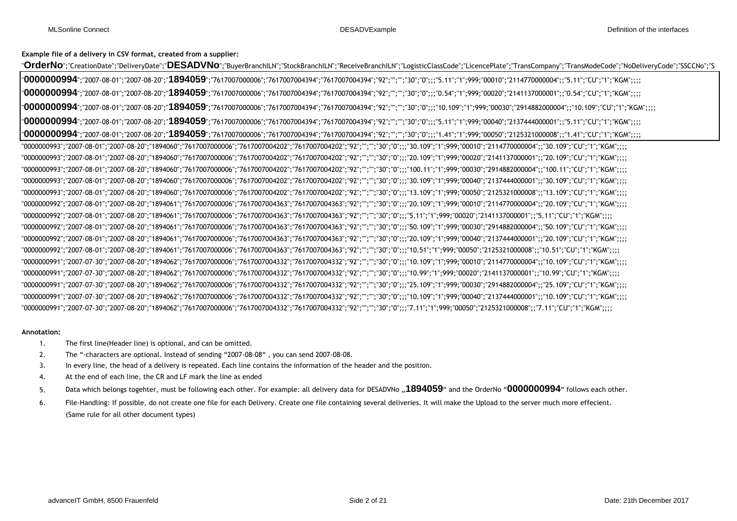**Example file of a delivery in CSV format, created from a supplier:**

"0000000993";"2007-08-01";"2007-08-20";"1894060";"7617007000006";"7617007004202";"7617007004202";"92";"";"";"30";"0";;;"13.109";"1";999;"00050";"2125321000008";;"13.109";"CU";"1";"KGM";;;; "**OrderNo**";"CreationDate";"DeliveryDate";"**DESADVNo**";"BuyerBranchILN";"StockBranchILN";"ReceiveBranchILN";"LogisticClassCode";"LicencePlate";"TransCompany";"TransModeCode";"NoDeliveryCode";"SSCCNo";"S "**0000000994**";"2007-08-01";"2007-08-20";"**1894059**";"7617007000006";"7617007004394";"7617007004394";"92";"";"";"30";"0";;;"5.11";"1";999;"00010";"2114770000004";;"5.11";"CU";"1";"KGM";;;; "**0000000994**";"2007-08-01";"2007-08-20";"**1894059**";"7617007000006";"7617007004394";"7617007004394";"92";"";"";"30";"0";;;"0.54";"1";999;"00020";"2141137000001";;"0.54";"CU";"1";"KGM";;;; "**0000000994**";"2007-08-01";"2007-08-20";"**1894059**";"7617007000006";"7617007004394";"7617007004394";"92";"";"";"30";"0";;;"10.109";"1";999;"00030";"2914882000004";;"10.109";"CU";"1";"KGM";;;; "**0000000994**";"2007-08-01";"2007-08-20";"**1894059**";"7617007000006";"7617007004394";"7617007004394";"92";"";"";"30";"0";;;"5.11";"1";999;"00040";"2137444000001";;"5.11";"CU";"1";"KGM";;;; "**0000000994**";"2007-08-01";"2007-08-20";"**1894059**";"7617007000006";"7617007004394";"7617007004394";"92";"";"";"30";"0";;;"1.41";"1";999;"00050";"2125321000008";;"1.41";"CU";"1";"KGM";;;; "0000000993";"2007-08-01";"2007-08-20";"1894060";"7617007000006";"7617007004202";"7617007004202";"92";"";"";"30";"0";;;"30.109";"1";999;"00010";"2114770000004";;"30.109";"CU";"1";"KGM";;;; "0000000993";"2007-08-01";"2007-08-20";"1894060";"7617007000006";"7617007004202";"7617007004202";"92";"";"";"30";"0";;;"20.109";"1";999;"00020";"2141137000001";;"20.109";"CU";"1";"KGM";;;; "0000000993";"2007-08-01";"2007-08-20";"1894060";"7617007000006";"7617007004202";"7617007004202";"92";"";"";"30";"0";;;"100.11";"1";999;"00030";"2914882000004";;"100.11";"CU";"1";"KGM";;;; "0000000993";"2007-08-01";"2007-08-20";"1894060";"7617007000006";"7617007004202";"7617007004202";"92";"";"";"30";"0";;;"30.109";"1";999;"00040";"2137444000001";;"30.109";"CU";"1";"KGM";;;; "0000000991";"2007-07-30";"2007-08-20";"1894062";"7617007000006";"7617007004332";"7617007004332";"92";"";"";"30";"0";;;"10.99";"1";999;"00020";"2141137000001";;"10.99";"CU";"1";"KGM";;;; "0000000991";"2007-07-30";"2007-08-20";"1894062";"7617007000006";"7617007004332";"7617007004332";"92";"";"";"30";"0";;;"25.109";"1";999;"00030";"2914882000004";;"25.109";"CU";"1";"KGM";;;; "0000000991";"2007-07-30";"2007-08-20";"1894062";"7617007000006";"7617007004332";"7617007004332";"92";"";"";"30";"0";;;"10.109";"1";999;"00040";"2137444000001";;"10.109";"CU";"1";"KGM";;;; "0000000991";"2007-07-30";"2007-08-20";"1894062";"7617007000006";"7617007004332";"7617007004332";"92";"";"";"30";"0";;;"7.11";"1";999;"00050";"2125321000008";;"7.11";"CU";"1";"KGM";;;; "0000000992";"2007-08-01";"2007-08-20";"1894061";"7617007000006";"7617007004363";"7617007004363";"92";"";"";"30";"0";;;"20.109";"1";999;"00010";"2114770000004";;"20.109";"CU";"1";"KGM";;;; "0000000992";"2007-08-01";"2007-08-20";"1894061";"7617007000006";"7617007004363";"7617007004363";"92";"";"";"30";"0";;;"5.11";"1";999;"00020";"2141137000001";;"5.11";"CU";"1";"KGM";;;; "0000000992";"2007-08-01";"2007-08-20";"1894061";"7617007000006";"7617007004363";"7617007004363";"92";"";"";"30";"0";;;"50.109";"1";999;"00030";"2914882000004";;"50.109";"CU";"1";"KGM";;;; "0000000992";"2007-08-01";"2007-08-20";"1894061";"7617007000006";"7617007004363";"7617007004363";"92";"";"";"30";"0";;;"20.109";"1";999;"00040";"2137444000001";;"20.109";"CU";"1";"KGM";;;; "0000000992";"2007-08-01";"2007-08-20";"1894061";"7617007000006";"7617007004363";"7617007004363";"92";"";"";"30";"0";;;"10.51";"1";999;"00050";"2125321000008";;"10.51";"CU";"1";"KGM";;;; "0000000991";"2007-07-30";"2007-08-20";"1894062";"7617007000006";"7617007004332";"7617007004332";"92";"";"";"30";"0";;;"10.109";"1";999;"00010";"2114770000004";;"10.109";"CU";"1";"KGM";;;;

#### **Annotation:**

- 1. The first line(Header line) is optional, and can be omitted.
- 2. The "-characters are optional. Instead of sending "2007-08-08" , you can send 2007-08-08.
- 3. In every line, the head of a delivery is repeated. Each line contains the information of the header and the position.
- 4. At the end of each line, the CR and LF mark the line as ended
- 5. Data which belongs togehter, must be following each other. For example: all delivery data for DESADVNo "1894059" and the OrderNo "0000000994" follows each other.
- 6. File-Handling: If possible, do not create one file for each Delivery. Create one file containing several deliveries. It will make the Upload to the server much more effecient. (Same rule for all other document types)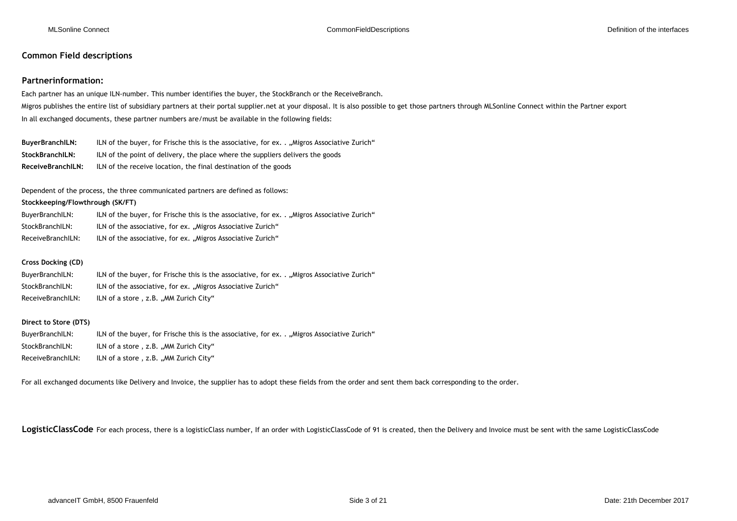### **Common Field descriptions**

#### **Partnerinformation:**

Each partner has an unique ILN-number. This number identifies the buyer, the StockBranch or the ReceiveBranch. Migros publishes the entire list of subsidiary partners at their portal supplier.net at your disposal. It is also possible to get those partners through MLSonline Connect within the Partner export In all exchanged documents, these partner numbers are/must be available in the following fields:

BuyerBranchILN: ILN of the buyer, for Frische this is the associative, for ex. . "Migros Associative Zurich" **StockBranchILN:** ILN of the point of delivery, the place where the suppliers delivers the goods **ReceiveBranchILN:** ILN of the receive location, the final destination of the goods

Dependent of the process, the three communicated partners are defined as follows:

#### **Stockkeeping/Flowthrough (SK/FT)**

| BuyerBranchILN:   | ILN of the buyer, for Frische this is the associative, for ex. Migros Associative Zurich" |
|-------------------|-------------------------------------------------------------------------------------------|
| StockBranchILN:   | ILN of the associative, for ex. "Migros Associative Zurich"                               |
| ReceiveBranchILN: | ILN of the associative, for ex. "Migros Associative Zurich"                               |

#### **Cross Docking (CD)**

| BuyerBranchILN:   | lLN of the buyer, for Frische this is the associative, for ex "Migros Associative Zurich" |
|-------------------|-------------------------------------------------------------------------------------------|
| StockBranchILN:   | ILN of the associative, for ex. "Migros Associative Zurich"                               |
| ReceiveBranchILN: | ILN of a store, z.B., MM Zurich City"                                                     |

#### **Direct to Store (DTS)**

| BuyerBranchILN:   | ILN of the buyer, for Frische this is the associative, for ex. Migros Associative Zurich" |
|-------------------|-------------------------------------------------------------------------------------------|
| StockBranchILN:   | ILN of a store, z.B. "MM Zurich City"                                                     |
| ReceiveBranchILN: | ILN of a store , z.B. "MM Zurich City"                                                    |

For all exchanged documents like Delivery and Invoice, the supplier has to adopt these fields from the order and sent them back corresponding to the order.

LogisticClassCode For each process, there is a logisticClass number, If an order with LogisticClassCode of 91 is created, then the Delivery and Invoice must be sent with the same LogisticClassCode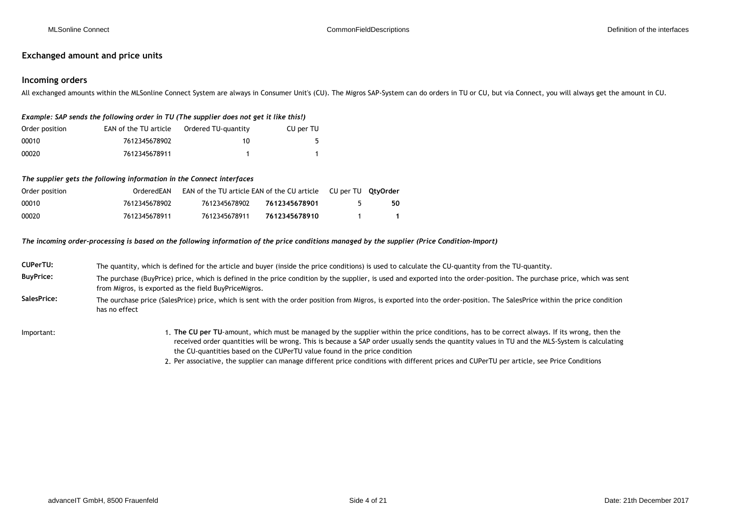### **Exchanged amount and price units**

### **Incoming orders**

All exchanged amounts within the MLSonline Connect System are always in Consumer Unit's (CU). The Migros SAP-System can do orders in TU or CU, but via Connect, you will always get the amount in CU.

#### *Example: SAP sends the following order in TU (The supplier does not get it like this!)*

| Order position | EAN of the TU article | Ordered TU-quantity | CU per TU |
|----------------|-----------------------|---------------------|-----------|
| 00010          | 7612345678902         | 10                  |           |
| 00020          | 7612345678911         |                     |           |

#### *The supplier gets the following information in the Connect interfaces*

| Order position | OrderedFAN    | <b>EAN of the TU article EAN of the CU article CU per TU QtyOrder</b> |               |    |
|----------------|---------------|-----------------------------------------------------------------------|---------------|----|
| 00010          | 7612345678902 | 7612345678902                                                         | 7612345678901 | 50 |
| 00020          | 7612345678911 | 7612345678911                                                         | 7612345678910 |    |

#### *The incoming order-processing is based on the following information of the price conditions managed by the supplier (Price Condition-Import)*

| CUPerTU:         | The quantity, which is defined for the article and buyer (inside the price conditions) is used to calculate the CU-quantity from the TU-quantity.                                                                                                                                              |
|------------------|------------------------------------------------------------------------------------------------------------------------------------------------------------------------------------------------------------------------------------------------------------------------------------------------|
| <b>BuyPrice:</b> | The purchase (BuyPrice) price, which is defined in the price condition by the supplier, is used and exported into the order-position. The purchase price, which was sent<br>from Migros, is exported as the field BuyPriceMigros.                                                              |
| SalesPrice:      | The ourchase price (SalesPrice) price, which is sent with the order position from Migros, is exported into the order-position. The SalesPrice within the price condition<br>has no effect                                                                                                      |
| Important:       | 1. The CU per TU-amount, which must be managed by the supplier within the price conditions, has to be correct always. If its wrong, then the<br>received arder quantities will be wrong. This is because a CAD arder usually sends the quantity values in TH and the MLC Cystem is salculating |

- received order quantities will be wrong. This is because a SAP order usually sends the quantity values in TU and the MLS-System is calculating the CU-quantities based on the CUPerTU value found in the price condition
	- 2. Per associative, the supplier can manage different price conditions with different prices and CUPerTU per article, see Price Conditions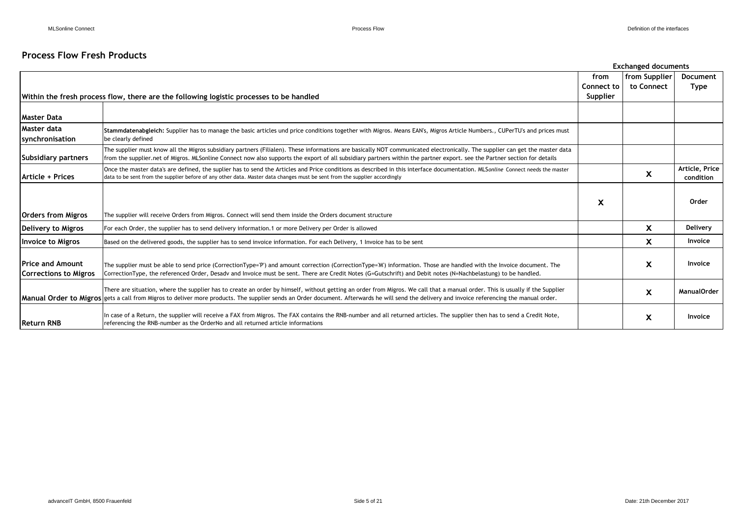## **Process Flow Fresh Products**

|                                                  |                                                                                                                                                                                                                                                                                                                                                                                       |                   | <b>Exchanged documents</b> |                             |
|--------------------------------------------------|---------------------------------------------------------------------------------------------------------------------------------------------------------------------------------------------------------------------------------------------------------------------------------------------------------------------------------------------------------------------------------------|-------------------|----------------------------|-----------------------------|
|                                                  |                                                                                                                                                                                                                                                                                                                                                                                       | from              | from Supplier              | Document                    |
|                                                  |                                                                                                                                                                                                                                                                                                                                                                                       | <b>Connect to</b> | to Connect                 | <b>Type</b>                 |
|                                                  | Within the fresh process flow, there are the following logistic processes to be handled                                                                                                                                                                                                                                                                                               | Supplier          |                            |                             |
|                                                  |                                                                                                                                                                                                                                                                                                                                                                                       |                   |                            |                             |
| <b>Master Data</b>                               |                                                                                                                                                                                                                                                                                                                                                                                       |                   |                            |                             |
| Master data<br>synchronisation                   | Stammdatenabgleich: Supplier has to manage the basic articles und price conditions together with Migros. Means EAN's, Migros Article Numbers., CUPerTU's and prices must<br>be clearly defined                                                                                                                                                                                        |                   |                            |                             |
| Subsidiary partners                              | The supplier must know all the Migros subsidiary partners (Filialen). These informations are basically NOT communicated electronically. The supplier can get the master data<br>from the supplier.net of Migros. MLSonline Connect now also supports the export of all subsidiary partners within the partner export, see the Partner section for details                             |                   |                            |                             |
| Article + Prices                                 | Once the master data's are defined, the suplier has to send the Articles and Price conditions as described in this interface documentation. MLSonline Connect needs the master<br>data to be sent from the supplier before of any other data. Master data changes must be sent from the supplier accordingly                                                                          |                   | X                          | Article, Price<br>condition |
| <b>Orders from Migros</b>                        | The supplier will receive Orders from Migros. Connect will send them inside the Orders document structure                                                                                                                                                                                                                                                                             | X                 |                            | Order                       |
|                                                  |                                                                                                                                                                                                                                                                                                                                                                                       |                   |                            |                             |
| Delivery to Migros                               | For each Order, the supplier has to send delivery information.1 or more Delivery per Order is allowed                                                                                                                                                                                                                                                                                 |                   | <b>X</b>                   | Delivery                    |
| <b>Invoice to Migros</b>                         | Based on the delivered goods, the supplier has to send invoice information. For each Delivery, 1 Invoice has to be sent                                                                                                                                                                                                                                                               |                   | X                          | Invoice                     |
| <b>Price and Amount</b><br>Corrections to Migros | The supplier must be able to send price (CorrectionType='P') and amount correction (CorrectionType='M') information. Those are handled with the Invoice document. The<br>CorrectionType, the referenced Order, Desady and Invoice must be sent. There are Credit Notes (G=Gutschrift) and Debit notes (N=Nachbelastung) to be handled.                                                |                   | X                          | Invoice                     |
|                                                  | There are situation, where the supplier has to create an order by himself, without getting an order from Migros. We call that a manual order. This is usually if the Supplier<br><b>Manual Order to Migros</b> gets a call from Migros to deliver more products. The supplier sends an Order document. Afterwards he will send the delivery and invoice referencing the manual order. |                   | X                          | <b>ManualOrder</b>          |
| <b>Return RNB</b>                                | In case of a Return, the supplier will receive a FAX from Migros. The FAX contains the RNB-number and all returned articles. The supplier then has to send a Credit Note,<br>referencing the RNB-number as the OrderNo and all returned article informations                                                                                                                          |                   | X                          | Invoice                     |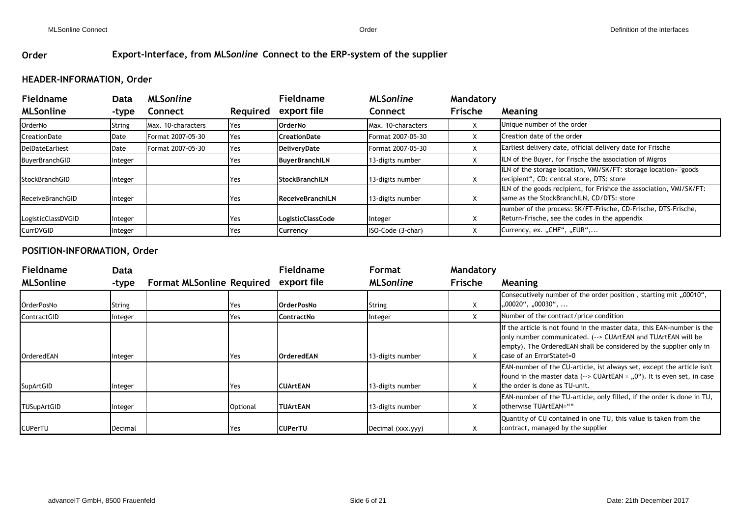## **Order Export-Interface, from MLS***online* **Connect to the ERP-system of the supplier**

# **HEADER-INFORMATION, Order**

| <b>Fieldname</b>       | Data    | <b>MLSonline</b>   |          | <b>Fieldname</b>         | <b>MLSonline</b>   | Mandatory |                                                                                                                  |  |
|------------------------|---------|--------------------|----------|--------------------------|--------------------|-----------|------------------------------------------------------------------------------------------------------------------|--|
| <b>MLSonline</b>       | -type   | <b>Connect</b>     | Required | export file              | Connect            | Frische   | Meaning                                                                                                          |  |
| OrderNo                | String  | Max. 10-characters | Yes      | <b>OrderNo</b>           | Max. 10-characters |           | Unique number of the order                                                                                       |  |
| CreationDate           | Date    | Format 2007-05-30  | Yes      | <b>CreationDate</b>      | Format 2007-05-30  |           | Creation date of the order                                                                                       |  |
| <b>DelDateEarliest</b> | Date    | Format 2007-05-30  | Yes      | DeliveryDate             | Format 2007-05-30  |           | Earliest delivery date, official delivery date for Frische                                                       |  |
| BuyerBranchGID         | Integer |                    | Yes      | <b>BuyerBranchILN</b>    | 13-digits number   |           | ILN of the Buyer, for Frische the association of Migros                                                          |  |
| StockBranchGID         | Integer |                    | Yes      | <b>StockBranchILN</b>    | 13-digits number   |           | ILN of the storage location, VMI/SK/FT: storage location="goods<br>recipient", CD: central store, DTS: store     |  |
| ReceiveBranchGID       | Integer |                    | Yes      | <b>ReceiveBranchILN</b>  | 13-digits number   | Y         | ILN of the goods recipient, for Frishce the association, VMI/SK/FT:<br>same as the StockBranchILN, CD/DTS: store |  |
| LogisticClassDVGID     | Integer |                    | Yes      | <b>LogisticClassCode</b> | Integer            |           | number of the process: SK/FT-Frische, CD-Frische, DTS-Frische,<br>Return-Frische, see the codes in the appendix  |  |
| CurrDVGID              | Integer |                    | Yes      | <b>Currency</b>          | ISO-Code (3-char)  |           | Currency, ex. "CHF", "EUR",                                                                                      |  |

## **POSITION-INFORMATION, Order**

| <b>Fieldname</b>   | Data          |                                  |          | <b>Fieldname</b>   | Format            | Mandatory |                                                                                                                                                                                                                                          |
|--------------------|---------------|----------------------------------|----------|--------------------|-------------------|-----------|------------------------------------------------------------------------------------------------------------------------------------------------------------------------------------------------------------------------------------------|
| <b>MLSonline</b>   | -type         | <b>Format MLSonline Required</b> |          | export file        | <b>MLSonline</b>  | Frische   | Meaning                                                                                                                                                                                                                                  |
| <b>OrderPosNo</b>  | <b>String</b> |                                  | Yes      | <b>IOrderPosNo</b> | String            | Χ         | Consecutively number of the order position, starting mit, 00010",<br>,,00020", ,,00030",                                                                                                                                                 |
| ContractGID        | Integer       |                                  | Yes      | <b>ContractNo</b>  | Integer           |           | Number of the contract/price condition                                                                                                                                                                                                   |
| <b>OrderedEAN</b>  | Integer       |                                  | Yes      | <b>OrderedEAN</b>  | 13-digits number  | X         | If the article is not found in the master data, this EAN-number is the<br>only number communicated. (--> CUArtEAN and TUArtEAN will be<br>empty). The OrderedEAN shall be considered by the supplier only in<br>case of an ErrorState!=0 |
| SupArtGID          | Integer       |                                  | Yes      | <b>CUArtEAN</b>    | 13-digits number  | х         | <b>EAN-number of the CU-article, ist always set, except the article isn't</b><br>found in the master data $(-)$ CUArtEAN = $,0$ "). It is even set, in case<br>the order is done as TU-unit.                                             |
| <b>TUSupArtGID</b> | Integer       |                                  | Optional | <b>ITUArtEAN</b>   | 13-digits number  | х         | <b>EAN-number of the TU-article, only filled, if the order is done in TU,</b><br>otherwise TUArtEAN=""                                                                                                                                   |
| <b>CUPerTU</b>     | Decimal       |                                  | Yes      | <b>ICUPerTU</b>    | Decimal (xxx.yyy) |           | Quantity of CU contained in one TU, this value is taken from the<br>contract, managed by the supplier                                                                                                                                    |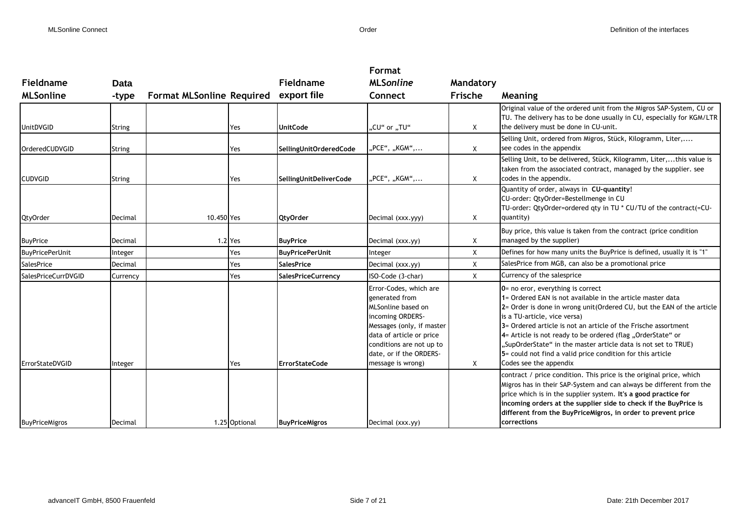|                            |               |                                  |               |                           | Format                                                                                                                                                                                                                  |           |                                                                                                                                                                                                                                                                                                                                                                                                                                                                                                       |
|----------------------------|---------------|----------------------------------|---------------|---------------------------|-------------------------------------------------------------------------------------------------------------------------------------------------------------------------------------------------------------------------|-----------|-------------------------------------------------------------------------------------------------------------------------------------------------------------------------------------------------------------------------------------------------------------------------------------------------------------------------------------------------------------------------------------------------------------------------------------------------------------------------------------------------------|
| Fieldname                  | Data          |                                  |               | <b>Fieldname</b>          | <b>MLSonline</b>                                                                                                                                                                                                        | Mandatory |                                                                                                                                                                                                                                                                                                                                                                                                                                                                                                       |
| <b>MLSonline</b>           | -type         | <b>Format MLSonline Required</b> |               | export file               | Connect                                                                                                                                                                                                                 | Frische   | Meaning                                                                                                                                                                                                                                                                                                                                                                                                                                                                                               |
| <b>UnitDVGID</b>           | <b>String</b> |                                  | Yes           | <b>UnitCode</b>           | "CU" or "TU"                                                                                                                                                                                                            | X         | Original value of the ordered unit from the Migros SAP-System, CU or<br>TU. The delivery has to be done usually in CU, especially for KGM/LTR<br>the delivery must be done in CU-unit.                                                                                                                                                                                                                                                                                                                |
| <b>OrderedCUDVGID</b>      | String        |                                  | Yes           | SellingUnitOrderedCode    | "PCE", "KGM",                                                                                                                                                                                                           | X         | Selling Unit, ordered from Migros, Stück, Kilogramm, Liter,<br>see codes in the appendix                                                                                                                                                                                                                                                                                                                                                                                                              |
| <b>CUDVGID</b>             | String        |                                  | Yes           | SellingUnitDeliverCode    | "PCE", "KGM",                                                                                                                                                                                                           | X         | Selling Unit, to be delivered, Stück, Kilogramm, Liter,this value is<br>taken from the associated contract, managed by the supplier. see<br>codes in the appendix.                                                                                                                                                                                                                                                                                                                                    |
| QtyOrder                   | Decimal       | 10.450 Yes                       |               | <b>QtyOrder</b>           | Decimal (xxx.yyy)                                                                                                                                                                                                       | X         | Quantity of order, always in CU-quantity!<br>CU-order: QtyOrder=Bestellmenge in CU<br>TU-order: QtyOrder=ordered qty in TU * CU/TU of the contract(=CU-<br>quantity)                                                                                                                                                                                                                                                                                                                                  |
| <b>BuyPrice</b>            | Decimal       |                                  | 1.2 Yes       | <b>BuyPrice</b>           | Decimal (xxx.yy)                                                                                                                                                                                                        | X         | Buy price, this value is taken from the contract (price condition<br>managed by the supplier)                                                                                                                                                                                                                                                                                                                                                                                                         |
| <b>BuyPricePerUnit</b>     | Integer       |                                  | Yes           | <b>BuyPricePerUnit</b>    | Integer                                                                                                                                                                                                                 | X         | Defines for how many units the BuyPrice is defined, usually it is "1"                                                                                                                                                                                                                                                                                                                                                                                                                                 |
| <b>SalesPrice</b>          | Decimal       |                                  | Yes           | <b>SalesPrice</b>         | Decimal (xxx.yy)                                                                                                                                                                                                        | X         | SalesPrice from MGB, can also be a promotional price                                                                                                                                                                                                                                                                                                                                                                                                                                                  |
| <b>SalesPriceCurrDVGID</b> | Currency      |                                  | Yes           | <b>SalesPriceCurrency</b> | ISO-Code (3-char)                                                                                                                                                                                                       | Χ         | Currency of the salesprice                                                                                                                                                                                                                                                                                                                                                                                                                                                                            |
| ErrorStateDVGID            | Integer       |                                  | Yes           | <b>ErrorStateCode</b>     | Error-Codes, which are<br>generated from<br>MLSonline based on<br>incoming ORDERS-<br>Messages (only, if master<br>data of article or price<br>conditions are not up to<br>date, or if the ORDERS-<br>message is wrong) | X         | 0= no eror, everything is correct<br>1= Ordered EAN is not available in the article master data<br>2= Order is done in wrong unit (Ordered CU, but the EAN of the article<br>is a TU-article, vice versa)<br>3= Ordered article is not an article of the Frische assortment<br>4= Article is not ready to be ordered (flag "OrderState" or<br>"SupOrderState" in the master article data is not set to TRUE)<br>5 = could not find a valid price condition for this article<br>Codes see the appendix |
| <b>BuyPriceMigros</b>      | Decimal       |                                  | 1.25 Optional | <b>BuyPriceMigros</b>     | Decimal (xxx.yy)                                                                                                                                                                                                        |           | contract / price condition. This price is the original price, which<br>Migros has in their SAP-System and can always be different from the<br>price which is in the supplier system. It's a good practice for<br>incoming orders at the supplier side to check if the BuyPrice is<br>different from the BuyPriceMigros, in order to prevent price<br>corrections                                                                                                                                      |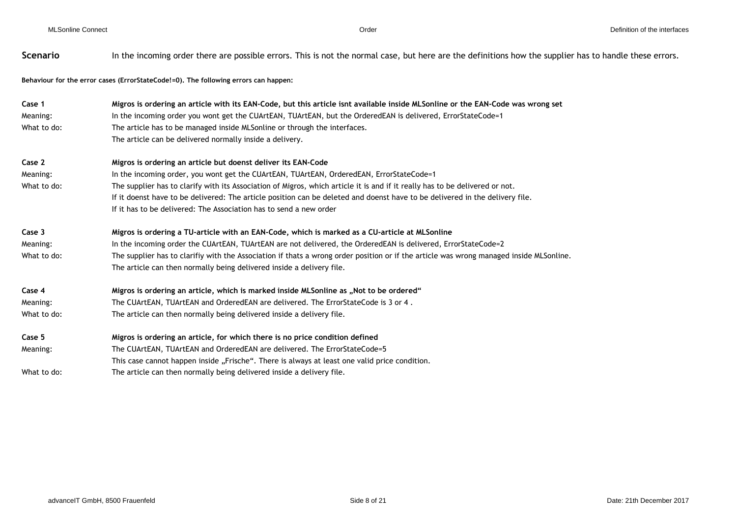| Scenario    | In the incoming order there are possible errors. This is not the normal case, but here are the definitions how the supplier has to handle these errors. |
|-------------|---------------------------------------------------------------------------------------------------------------------------------------------------------|
|             | Behaviour for the error cases (ErrorStateCode!=0). The following errors can happen:                                                                     |
| Case 1      | Migros is ordering an article with its EAN-Code, but this article isnt available inside MLSonline or the EAN-Code was wrong set                         |
| Meaning:    | In the incoming order you wont get the CUArtEAN, TUArtEAN, but the OrderedEAN is delivered, ErrorStateCode=1                                            |
| What to do: | The article has to be managed inside MLSonline or through the interfaces.                                                                               |
|             | The article can be delivered normally inside a delivery.                                                                                                |
| Case 2      | Migros is ordering an article but doenst deliver its EAN-Code                                                                                           |
| Meaning:    | In the incoming order, you wont get the CUArtEAN, TUArtEAN, OrderedEAN, ErrorStateCode=1                                                                |
| What to do: | The supplier has to clarify with its Association of Migros, which article it is and if it really has to be delivered or not.                            |
|             | If it doenst have to be delivered: The article position can be deleted and doenst have to be delivered in the delivery file.                            |
|             | If it has to be delivered: The Association has to send a new order                                                                                      |
| Case 3      | Migros is ordering a TU-article with an EAN-Code, which is marked as a CU-article at MLSonline                                                          |
| Meaning:    | In the incoming order the CUArtEAN, TUArtEAN are not delivered, the OrderedEAN is delivered, ErrorStateCode=2                                           |
| What to do: | The supplier has to clarifiy with the Association if thats a wrong order position or if the article was wrong managed inside MLSonline.                 |
|             | The article can then normally being delivered inside a delivery file.                                                                                   |
| Case 4      | Migros is ordering an article, which is marked inside MLSonline as "Not to be ordered"                                                                  |
| Meaning:    | The CUArtEAN, TUArtEAN and OrderedEAN are delivered. The ErrorStateCode is 3 or 4.                                                                      |
| What to do: | The article can then normally being delivered inside a delivery file.                                                                                   |
| Case 5      | Migros is ordering an article, for which there is no price condition defined                                                                            |
| Meaning:    | The CUArtEAN, TUArtEAN and OrderedEAN are delivered. The ErrorStateCode=5                                                                               |
|             | This case cannot happen inside "Frische". There is always at least one valid price condition.                                                           |
| What to do: | The article can then normally being delivered inside a delivery file.                                                                                   |
|             |                                                                                                                                                         |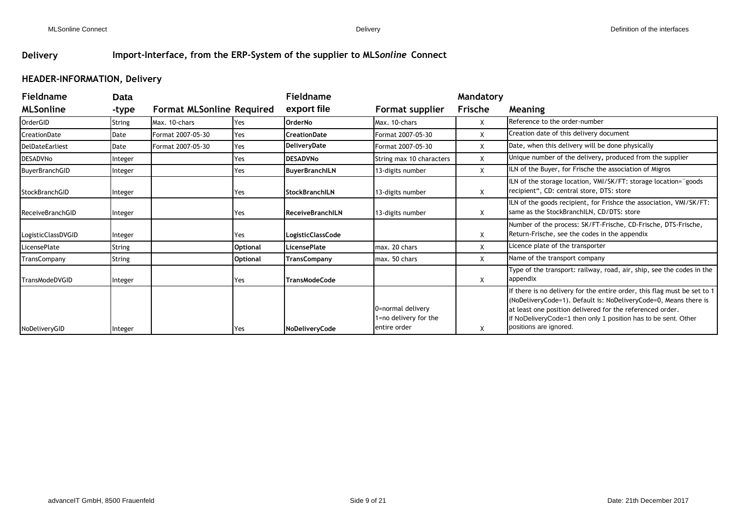## **Delivery Import-Interface, from the ERP-System of the supplier to MLS***online* **Connect**

## **HEADER-INFORMATION, Delivery**

| <b>Fieldname</b>       | <b>Data</b> |                                  |                 | <b>Fieldname</b>         |                                                            | Mandatory |                                                                                                                                                                                                                                                                                                       |
|------------------------|-------------|----------------------------------|-----------------|--------------------------|------------------------------------------------------------|-----------|-------------------------------------------------------------------------------------------------------------------------------------------------------------------------------------------------------------------------------------------------------------------------------------------------------|
| <b>MLSonline</b>       | -type       | <b>Format MLSonline Required</b> |                 | export file              | Format supplier                                            | Frische   | <b>Meaning</b>                                                                                                                                                                                                                                                                                        |
| OrderGID               | String      | Max. 10-chars                    | Yes             | <b>OrderNo</b>           | Max. 10-chars                                              | X         | Reference to the order-number                                                                                                                                                                                                                                                                         |
| CreationDate           | Date        | Format 2007-05-30                | Yes             | <b>CreationDate</b>      | Format 2007-05-30                                          | X         | Creation date of this delivery document                                                                                                                                                                                                                                                               |
| <b>DelDateEarliest</b> | Date        | Format 2007-05-30                | Yes             | DeliveryDate             | Format 2007-05-30                                          | X         | Date, when this delivery will be done physically                                                                                                                                                                                                                                                      |
| DESADVNo               | Integer     |                                  | Yes             | <b>DESADVNo</b>          | String max 10 characters                                   | X         | Unique number of the delivery, produced from the supplier                                                                                                                                                                                                                                             |
| BuyerBranchGID         | Integer     |                                  | Yes             | <b>BuyerBranchILN</b>    | 13-digits number                                           | X         | ILN of the Buyer, for Frische the association of Migros                                                                                                                                                                                                                                               |
| <b>StockBranchGID</b>  | Integer     |                                  | Yes             | <b>StockBranchILN</b>    | 13-digits number                                           | X         | ILN of the storage location, VMI/SK/FT: storage location="goods<br>recipient", CD: central store, DTS: store                                                                                                                                                                                          |
| ReceiveBranchGID       | Integer     |                                  | Yes             | <b>ReceiveBranchILN</b>  | 13-digits number                                           | Χ         | ILN of the goods recipient, for Frishce the association, VMI/SK/FT:<br>same as the StockBranchILN, CD/DTS: store                                                                                                                                                                                      |
| LogisticClassDVGID     | Integer     |                                  | Yes             | <b>LogisticClassCode</b> |                                                            | Χ         | Number of the process: SK/FT-Frische, CD-Frische, DTS-Frische,<br>Return-Frische, see the codes in the appendix                                                                                                                                                                                       |
| LicensePlate           | String      |                                  | <b>Optional</b> | <b>LicensePlate</b>      | max. 20 chars                                              | X         | Licence plate of the transporter                                                                                                                                                                                                                                                                      |
| TransCompany           | String      |                                  | <b>Optional</b> | <b>TransCompany</b>      | max. 50 chars                                              | X         | Name of the transport company                                                                                                                                                                                                                                                                         |
| <b>TransModeDVGID</b>  | Integer     |                                  | Yes             | <b>TransModeCode</b>     |                                                            | X         | Type of the transport: railway, road, air, ship, see the codes in the<br>appendix                                                                                                                                                                                                                     |
| NoDeliveryGID          | Integer     |                                  | Yes             | NoDeliveryCode           | 0=normal delivery<br>1=no delivery for the<br>entire order | Х         | If there is no delivery for the entire order, this flag must be set to 1<br>(NoDeliveryCode=1). Default is: NoDeliveryCode=0, Means there is<br>at least one position delivered for the referenced order.<br>If NoDeliveryCode=1 then only 1 position has to be sent. Other<br>positions are ignored. |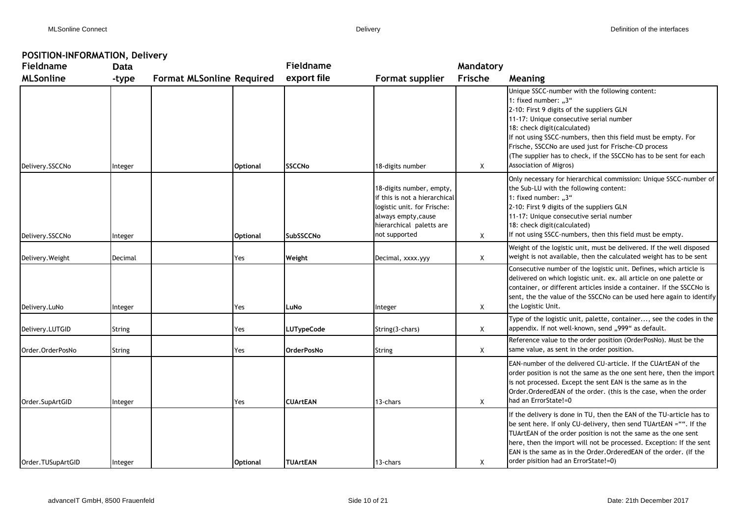## **POSITION-INFORMATION, Delivery**

| Fieldname         | <b>Data</b>   |                                  |                 | <b>Fieldname</b>  |                                                                                                                                                              | Mandatory |                                                                                                                                                                                                                                                                                                                                                                                                                       |  |  |  |
|-------------------|---------------|----------------------------------|-----------------|-------------------|--------------------------------------------------------------------------------------------------------------------------------------------------------------|-----------|-----------------------------------------------------------------------------------------------------------------------------------------------------------------------------------------------------------------------------------------------------------------------------------------------------------------------------------------------------------------------------------------------------------------------|--|--|--|
| <b>MLSonline</b>  | -type         | <b>Format MLSonline Required</b> |                 | export file       | Format supplier                                                                                                                                              | Frische   | Meaning                                                                                                                                                                                                                                                                                                                                                                                                               |  |  |  |
| Delivery.SSCCNo   | Integer       |                                  | <b>Optional</b> | <b>SSCCNo</b>     | 18-digits number                                                                                                                                             | Χ         | Unique SSCC-number with the following content:<br>1: fixed number: "3"<br>2-10: First 9 digits of the suppliers GLN<br>11-17: Unique consecutive serial number<br>18: check digit(calculated)<br>If not using SSCC-numbers, then this field must be empty. For<br>Frische, SSCCNo are used just for Frische-CD process<br>(The supplier has to check, if the SSCCNo has to be sent for each<br>Association of Migros) |  |  |  |
| Delivery.SSCCNo   | Integer       |                                  | <b>Optional</b> | SubSSCCNo         | 18-digits number, empty,<br>if this is not a hierarchical<br>logistic unit. for Frische:<br>always empty, cause<br>hierarchical paletts are<br>not supported | Χ         | Only necessary for hierarchical commission: Unique SSCC-number of<br>the Sub-LU with the following content:<br>1: fixed number: "3"<br>2-10: First 9 digits of the suppliers GLN<br>11-17: Unique consecutive serial number<br>18: check digit(calculated)<br>If not using SSCC-numbers, then this field must be empty.                                                                                               |  |  |  |
| Delivery. Weight  | Decimal       |                                  | Yes             | Weight            | Decimal, xxxx.yyy                                                                                                                                            | X         | Weight of the logistic unit, must be delivered. If the well disposed<br>weight is not available, then the calculated weight has to be sent                                                                                                                                                                                                                                                                            |  |  |  |
| Delivery.LuNo     | Integer       |                                  | Yes             | LuNo              | Integer                                                                                                                                                      | X         | Consecutive number of the logistic unit. Defines, which article is<br>delivered on which logistic unit. ex. all article on one palette or<br>container, or different articles inside a container. If the SSCCNo is<br>sent, the the value of the SSCCNo can be used here again to identify<br>the Logistic Unit.                                                                                                      |  |  |  |
| Delivery.LUTGID   | <b>String</b> |                                  | Yes             | <b>LUTypeCode</b> | String(3-chars)                                                                                                                                              | Χ         | Type of the logistic unit, palette, container, see the codes in the<br>appendix. If not well-known, send "999" as default.                                                                                                                                                                                                                                                                                            |  |  |  |
| Order.OrderPosNo  | <b>String</b> |                                  | Yes             | <b>OrderPosNo</b> | <b>String</b>                                                                                                                                                | Χ         | Reference value to the order position (OrderPosNo). Must be the<br>same value, as sent in the order position.                                                                                                                                                                                                                                                                                                         |  |  |  |
| Order.SupArtGID   | Integer       |                                  | Yes             | <b>CUArtEAN</b>   | 13-chars                                                                                                                                                     | X         | EAN-number of the delivered CU-article. If the CUArtEAN of the<br>order position is not the same as the one sent here, then the import<br>is not processed. Except the sent EAN is the same as in the<br>Order. OrderedEAN of the order. (this is the case, when the order<br>had an ErrorState!=0                                                                                                                    |  |  |  |
| Order.TUSupArtGID | Integer       |                                  | <b>Optional</b> | <b>TUArtEAN</b>   | 13-chars                                                                                                                                                     | Χ         | If the delivery is done in TU, then the EAN of the TU-article has to<br>be sent here. If only CU-delivery, then send TUArtEAN = "". If the<br>TUArtEAN of the order position is not the same as the one sent<br>here, then the import will not be processed. Exception: If the sent<br>EAN is the same as in the Order. OrderedEAN of the order. (If the<br>order pisition had an ErrorState!=0)                      |  |  |  |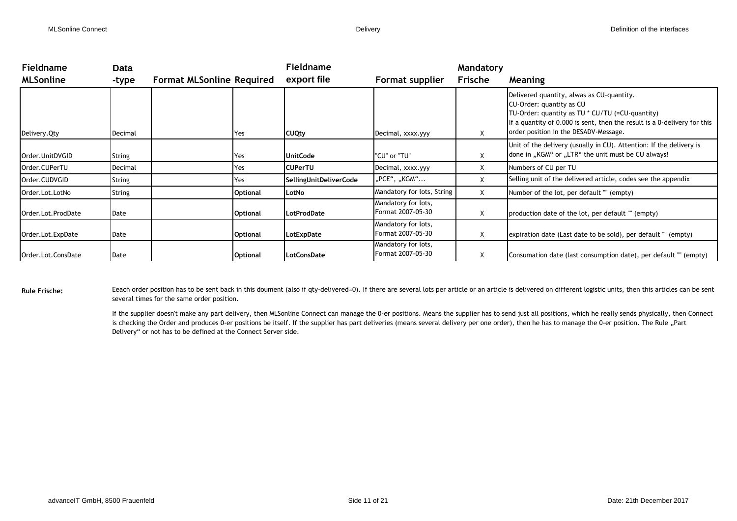| <b>Fieldname</b>   | Data          |                                  |                 | <b>Fieldname</b>       |                                          | Mandatory |                                                                                                                                                                                                                                                 |
|--------------------|---------------|----------------------------------|-----------------|------------------------|------------------------------------------|-----------|-------------------------------------------------------------------------------------------------------------------------------------------------------------------------------------------------------------------------------------------------|
| <b>MLSonline</b>   | -type         | <b>Format MLSonline Required</b> |                 | export file            | Format supplier                          | Frische   | Meaning                                                                                                                                                                                                                                         |
| Delivery. Qty      | Decimal       |                                  | Yes             | <b>CUQty</b>           | Decimal, xxxx.yyy                        | X         | Delivered quantity, alwas as CU-quantity.<br>CU-Order: quantity as CU<br>TU-Order: quantity as TU $*$ CU/TU (=CU-quantity)<br>If a quantity of 0.000 is sent, then the result is a 0-delivery for this<br>order position in the DESADV-Message. |
| Order.UnitDVGID    | <b>String</b> |                                  | Yes             | <b>UnitCode</b>        | "CU" or "TU"                             | X         | Unit of the delivery (usually in CU). Attention: If the delivery is<br>done in "KGM" or "LTR" the unit must be CU always!                                                                                                                       |
| Order.CUPerTU      | Decimal       |                                  | Yes             | <b>CUPerTU</b>         | Decimal, xxxx.yyy                        | Χ         | Numbers of CU per TU                                                                                                                                                                                                                            |
| Order.CUDVGID      | String        |                                  | Yes             | SellingUnitDeliverCode | "PCE", "KGM"                             | X         | Selling unit of the delivered article, codes see the appendix                                                                                                                                                                                   |
| Order.Lot.LotNo    | String        |                                  | <b>Optional</b> | LotNo                  | Mandatory for lots, String               | X         | Number of the lot, per default "" (empty)                                                                                                                                                                                                       |
| Order.Lot.ProdDate | Date          |                                  | <b>Optional</b> | LotProdDate            | Mandatory for lots,<br>Format 2007-05-30 | X         | production date of the lot, per default "" (empty)                                                                                                                                                                                              |
| Order.Lot.ExpDate  | Date          |                                  | <b>Optional</b> | LotExpDate             | Mandatory for lots,<br>Format 2007-05-30 | Χ         | expiration date (Last date to be sold), per default "" (empty)                                                                                                                                                                                  |
| Order.Lot.ConsDate | Date          |                                  | <b>Optional</b> | LotConsDate            | Mandatory for lots,<br>Format 2007-05-30 | Χ         | Consumation date (last consumption date), per default "" (empty)                                                                                                                                                                                |

Rule Frische: Eeach order position has to be sent back in this doument (also if qty-delivered=0). If there are several lots per article or an article is delivered on different logistic units, then this articles can be sent several times for the same order position.

> If the supplier doesn't make any part delivery, then MLSonline Connect can manage the 0-er positions. Means the supplier has to send just all positions, which he really sends physically, then Connect is checking the Order and produces 0-er positions be itself. If the supplier has part deliveries (means several delivery per one order), then he has to manage the 0-er position. The Rule "Part Delivery" or not has to be defined at the Connect Server side.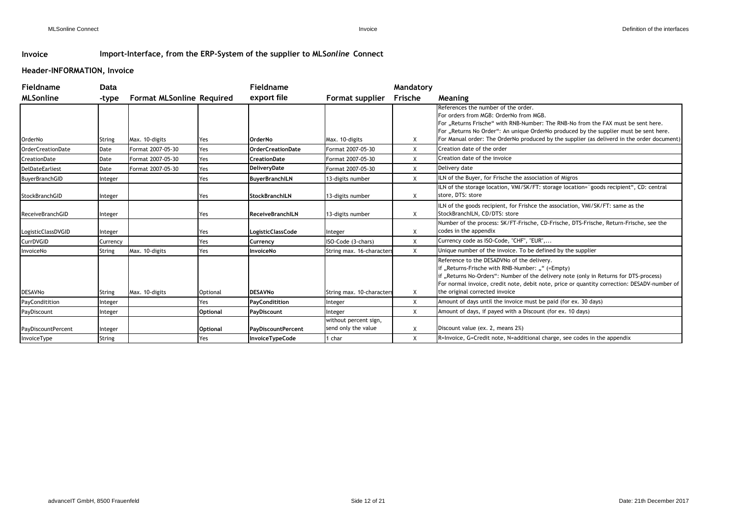## **Invoice Import-Interface, from the ERP-System of the supplier to MLS***online* **Connect**

## **Header-INFORMATION, Invoice**

| Fieldname                 | Data          |                                  |                 | <b>Fieldname</b>          |                                              | Mandatory    |                                                                                                                                                                                                                                                                                                                                                           |
|---------------------------|---------------|----------------------------------|-----------------|---------------------------|----------------------------------------------|--------------|-----------------------------------------------------------------------------------------------------------------------------------------------------------------------------------------------------------------------------------------------------------------------------------------------------------------------------------------------------------|
| <b>MLSonline</b>          | -type         | <b>Format MLSonline Required</b> |                 | export file               | Format supplier                              | Frische      | <b>Meaning</b>                                                                                                                                                                                                                                                                                                                                            |
| OrderNo                   | String        | Max. 10-digits                   | Yes             | OrderNo                   | Max. 10-digits                               | X            | References the number of the order.<br>For orders from MGB: OrderNo from MGB.<br>For "Returns Frische" with RNB-Number: The RNB-No from the FAX must be sent here.<br>For "Returns No Order": An unique OrderNo produced by the supplier must be sent here.<br>For Manual order: The OrderNo produced by the supplier (as deliverd in the order document) |
| <b>OrderCreationDate</b>  | Date          | Format 2007-05-30                | Yes             | <b>OrderCreationDate</b>  | Format 2007-05-30                            | X            | Creation date of the order                                                                                                                                                                                                                                                                                                                                |
| CreationDate              | Date          | Format 2007-05-30                | Yes             | <b>CreationDate</b>       | Format 2007-05-30                            | X            | Creation date of the invoice                                                                                                                                                                                                                                                                                                                              |
| <b>DelDateEarliest</b>    | Date          | Format 2007-05-30                | Yes             | <b>DelivervDate</b>       | Format 2007-05-30                            | X            | Delivery date                                                                                                                                                                                                                                                                                                                                             |
| <b>BuyerBranchGID</b>     | Integer       |                                  | Yes             | <b>BuyerBranchILN</b>     | 13-digits number                             | $\mathsf{X}$ | LN of the Buyer, for Frische the association of Migros                                                                                                                                                                                                                                                                                                    |
| StockBranchGID            | Integer       |                                  | Yes             | <b>StockBranchILN</b>     | 13-digits number                             | $\times$     | ILN of the storage location, VMI/SK/FT: storage location="goods recipient", CD: central<br>store, DTS: store                                                                                                                                                                                                                                              |
| <b>ReceiveBranchGID</b>   | Integer       |                                  | Yes             | <b>ReceiveBranchILN</b>   | 13-digits number                             | X            | ILN of the goods recipient, for Frishce the association, VMI/SK/FT: same as the<br>StockBranchILN, CD/DTS: store                                                                                                                                                                                                                                          |
| LogisticClassDVGID        | Integer       |                                  | Yes             | LogisticClassCode         | Integer                                      | X            | Number of the process: SK/FT-Frische, CD-Frische, DTS-Frische, Return-Frische, see the<br>codes in the appendix                                                                                                                                                                                                                                           |
| CurrDVGID                 | Currency      |                                  | Yes             | Currency                  | ISO-Code (3-chars)                           | $\mathsf{X}$ | Currency code as ISO-Code, "CHF", "EUR",                                                                                                                                                                                                                                                                                                                  |
| InvoiceNo                 | <b>String</b> | Max. 10-digits                   | Yes             | InvoiceNo                 | String max. 16-characters                    | $\times$     | Unique number of the invoice. To be defined by the supplier                                                                                                                                                                                                                                                                                               |
| <b>DESAVNo</b>            | <b>String</b> | Max. 10-digits                   | Optional        | <b>DESAVNo</b>            | String max. 10-characters                    | X            | Reference to the DESADVNo of the delivery.<br>f "Returns-Frische with RNB-Number: "" (=Empty)<br>f "Returns No-Orders": Number of the delivery note (only in Returns for DTS-process)<br>For normal invoice, credit note, debit note, price or quantity correction: DESADV-number of<br>the original corrected invoice                                    |
| PayConditition            | Integer       |                                  | Yes             | PayConditition            | Integer                                      | $\mathsf{x}$ | Amount of days until the invoice must be paid (for ex. 30 days)                                                                                                                                                                                                                                                                                           |
| PayDiscount               | Integer       |                                  | <b>Optional</b> | PayDiscount               | Integer                                      | $\mathsf{X}$ | Amount of days, if payed with a Discount (for ex. 10 days)                                                                                                                                                                                                                                                                                                |
| <b>PayDiscountPercent</b> | Integer       |                                  | Optional        | <b>PayDiscountPercent</b> | without percent sign,<br>send only the value | X            | Discount value (ex. 2, means 2%)                                                                                                                                                                                                                                                                                                                          |
| InvoiceType               | String        |                                  | Yes             | <b>InvoiceTypeCode</b>    | 1 char                                       | X            | R=Invoice, G=Credit note, N=additional charge, see codes in the appendix                                                                                                                                                                                                                                                                                  |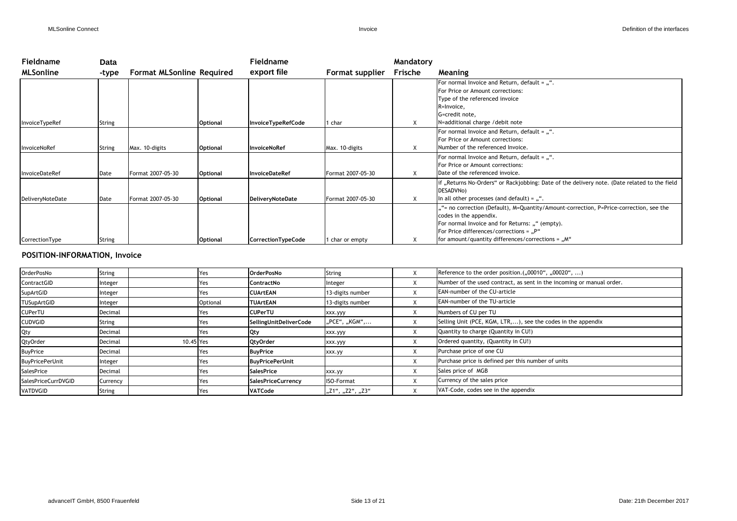| <b>Fieldname</b> | <b>Data</b>   |                                  |                 | Fieldname                 |                   | Mandatory |                                                                                              |
|------------------|---------------|----------------------------------|-----------------|---------------------------|-------------------|-----------|----------------------------------------------------------------------------------------------|
| <b>MLSonline</b> | -type         | <b>Format MLSonline Required</b> |                 | export file               | Format supplier   | Frische   | Meaning                                                                                      |
|                  |               |                                  |                 |                           |                   |           | For normal Invoice and Return, default = $, "$ .                                             |
|                  |               |                                  |                 |                           |                   |           | For Price or Amount corrections:                                                             |
|                  |               |                                  |                 |                           |                   |           | Type of the referenced invoice                                                               |
|                  |               |                                  |                 |                           |                   |           | R=Invoice,                                                                                   |
|                  |               |                                  |                 |                           |                   |           | G=credit note,                                                                               |
| InvoiceTypeRef   | <b>String</b> |                                  | <b>Optional</b> | <b>InvoiceTypeRefCode</b> | 1 char            | X         | N=additional charge / debit note                                                             |
|                  |               |                                  |                 |                           |                   |           | For normal Invoice and Return, default = "".                                                 |
|                  |               |                                  |                 |                           |                   |           | For Price or Amount corrections:                                                             |
| nvoiceNoRef      | <b>String</b> | Max. 10-digits                   | <b>Optional</b> | <b>InvoiceNoRef</b>       | Max. 10-digits    | X         | Number of the referenced Invoice.                                                            |
|                  |               |                                  |                 |                           |                   |           | For normal Invoice and Return, default = "".                                                 |
|                  |               |                                  |                 |                           |                   |           | For Price or Amount corrections:                                                             |
| InvoiceDateRef   | Date          | Format 2007-05-30                | <b>Optional</b> | <b>InvoiceDateRef</b>     | Format 2007-05-30 | Χ         | Date of the referenced invoice.                                                              |
|                  |               |                                  |                 |                           |                   |           | if "Returns No-Orders" or Rackjobbing: Date of the delivery note. (Date related to the field |
|                  |               |                                  |                 |                           |                   |           | DESADVNo)                                                                                    |
| DeliveryNoteDate | Date          | Format 2007-05-30                | <b>Optional</b> | DeliveryNoteDate          | Format 2007-05-30 | Χ         | In all other processes (and default) = $, "$ .                                               |
|                  |               |                                  |                 |                           |                   |           | ""= no correction (Default), M=Quantity/Amount-correction, P=Price-correction, see the       |
|                  |               |                                  |                 |                           |                   |           | codes in the appendix.                                                                       |
|                  |               |                                  |                 |                           |                   |           | For normal Invoice and for Returns: "" (empty).                                              |
|                  |               |                                  |                 |                           |                   |           | For Price differences/corrections = "P"                                                      |
| CorrectionType   | <b>String</b> |                                  | <b>Optional</b> | CorrectionTypeCode        | 1 char or empty   | Χ         | for amount/quantity differences/corrections = "M"                                            |

## **POSITION-INFORMATION, Invoice**

| OrderPosNo             | String   |           | Yes      | <b>OrderPosNo</b>         | String            | X | Reference to the order position.("00010", "00020", )                  |
|------------------------|----------|-----------|----------|---------------------------|-------------------|---|-----------------------------------------------------------------------|
| ContractGID            | Integer  |           | Yes      | <b>ContractNo</b>         | Integer           | X | Number of the used contract, as sent in the incoming or manual order. |
| SupArtGID              | Integer  |           | Yes      | <b>CUArtEAN</b>           | 13-digits number  | ⋏ | EAN-number of the CU-article                                          |
| <b>TUSupArtGID</b>     | Integer  |           | Optional | <b>TUArtEAN</b>           | 13-digits number  | X | EAN-number of the TU-article                                          |
| CUPerTU                | Decimal  |           | Yes      | <b>CUPerTU</b>            | xxx.yyy           | X | Numbers of CU per TU                                                  |
| <b>CUDVGID</b>         | String   |           | Yes      | SellingUnitDeliverCode    | "PCE", "KGM",     | X | Selling Unit (PCE, KGM, LTR,), see the codes in the appendix          |
| Qty                    | Decimal  |           | Yes      | <b>Qty</b>                | xxx.yyy           | X | Quantity to charge (Quantity in CU!)                                  |
| QtyOrder               | Decimal  | 10.45 Yes |          | <b>QtyOrder</b>           | xxx.yyy           | X | Ordered quantity, (Quantity in CU!)                                   |
| <b>BuyPrice</b>        | Decimal  |           | Yes      | <b>BuyPrice</b>           | xxx.yy            | X | Purchase price of one CU                                              |
| <b>BuyPricePerUnit</b> | Integer  |           | Yes      | <b>BuyPricePerUnit</b>    |                   | X | Purchase price is defined per this number of units                    |
| SalesPrice             | Decimal  |           | Yes      | <b>SalesPrice</b>         | xxx.yy            | X | Sales price of MGB                                                    |
| SalesPriceCurrDVGID    | Currency |           | Yes      | <b>SalesPriceCurrency</b> | <b>ISO-Format</b> | X | Currency of the sales price                                           |
| VATDVGID               | String   |           | Yes.     | VATCode                   | "Z1", "Z2", "Z3"  | X | VAT-Code, codes see in the appendix                                   |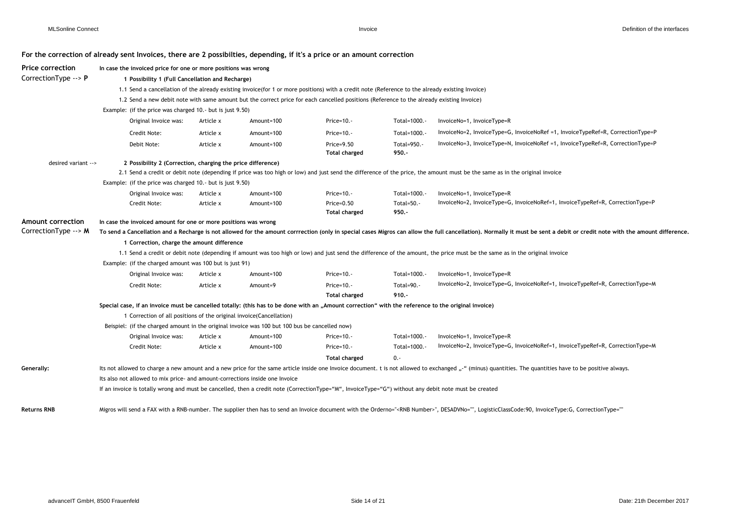#### **For the correction of already sent Invoices, there are 2 possibilties, depending, if it's a price or an amount correction**

| <b>Price correction</b> | In case the invoiced price for one or more positions was wrong                                                                                        |                                                                                                                                                                                                                             |            |                                                                                                                                                 |                        |                                                                                                                                                                                                            |  |  |  |  |  |  |  |
|-------------------------|-------------------------------------------------------------------------------------------------------------------------------------------------------|-----------------------------------------------------------------------------------------------------------------------------------------------------------------------------------------------------------------------------|------------|-------------------------------------------------------------------------------------------------------------------------------------------------|------------------------|------------------------------------------------------------------------------------------------------------------------------------------------------------------------------------------------------------|--|--|--|--|--|--|--|
| CorrectionType --> P    | 1 Possibility 1 (Full Cancellation and Recharge)                                                                                                      |                                                                                                                                                                                                                             |            |                                                                                                                                                 |                        |                                                                                                                                                                                                            |  |  |  |  |  |  |  |
|                         |                                                                                                                                                       |                                                                                                                                                                                                                             |            | 1.1 Send a cancellation of the already existing invoice(for 1 or more positions) with a credit note (Reference to the already existing Invoice) |                        |                                                                                                                                                                                                            |  |  |  |  |  |  |  |
|                         |                                                                                                                                                       |                                                                                                                                                                                                                             |            | 1.2 Send a new debit note with same amount but the correct price for each cancelled positions (Reference to the already existing Invoice)       |                        |                                                                                                                                                                                                            |  |  |  |  |  |  |  |
|                         | Example: (if the price was charged 10.- but is just 9.50)                                                                                             |                                                                                                                                                                                                                             |            |                                                                                                                                                 |                        |                                                                                                                                                                                                            |  |  |  |  |  |  |  |
|                         | Original Invoice was:                                                                                                                                 | Article x                                                                                                                                                                                                                   | Amount=100 | $Price=10. -$                                                                                                                                   | Total=1000.-           | InvoiceNo=1, InvoiceType=R                                                                                                                                                                                 |  |  |  |  |  |  |  |
|                         | Credit Note:                                                                                                                                          | Article x                                                                                                                                                                                                                   | Amount=100 | Price= $10.-$                                                                                                                                   | Total=1000.-           | InvoiceNo=2, InvoiceType=G, InvoiceNoRef =1, InvoiceTypeRef=R, CorrectionType=P                                                                                                                            |  |  |  |  |  |  |  |
|                         | Debit Note:                                                                                                                                           | Article x                                                                                                                                                                                                                   | Amount=100 | Price=9.50<br><b>Total charged</b>                                                                                                              | Total=950.-<br>$950 -$ | InvoiceNo=3, InvoiceType=N, InvoiceNoRef =1, InvoiceTypeRef=R, CorrectionType=P                                                                                                                            |  |  |  |  |  |  |  |
| desired variant -->     | 2 Possibility 2 (Correction, charging the price difference)                                                                                           |                                                                                                                                                                                                                             |            |                                                                                                                                                 |                        |                                                                                                                                                                                                            |  |  |  |  |  |  |  |
|                         |                                                                                                                                                       |                                                                                                                                                                                                                             |            |                                                                                                                                                 |                        | 2.1 Send a credit or debit note (depending if price was too high or low) and just send the difference of the price, the amount must be the same as in the original invoice                                 |  |  |  |  |  |  |  |
|                         |                                                                                                                                                       | Example: (if the price was charged 10.- but is just 9.50)                                                                                                                                                                   |            |                                                                                                                                                 |                        |                                                                                                                                                                                                            |  |  |  |  |  |  |  |
|                         | Original Invoice was:                                                                                                                                 | Article x                                                                                                                                                                                                                   | Amount=100 | $Price=10. -$                                                                                                                                   | Total=1000.-           | InvoiceNo=1, InvoiceType=R                                                                                                                                                                                 |  |  |  |  |  |  |  |
|                         | Credit Note:                                                                                                                                          | Article x                                                                                                                                                                                                                   | Amount=100 | Price=0.50                                                                                                                                      | Total=50.-             | InvoiceNo=2, InvoiceType=G, InvoiceNoRef=1, InvoiceTypeRef=R, CorrectionType=P                                                                                                                             |  |  |  |  |  |  |  |
|                         |                                                                                                                                                       |                                                                                                                                                                                                                             |            | <b>Total charged</b>                                                                                                                            | $950 -$                |                                                                                                                                                                                                            |  |  |  |  |  |  |  |
| Amount correction       |                                                                                                                                                       | In case the invoiced amount for one or more positions was wrong                                                                                                                                                             |            |                                                                                                                                                 |                        |                                                                                                                                                                                                            |  |  |  |  |  |  |  |
| CorrectionType --> M    |                                                                                                                                                       | To send a Cancellation and a Recharge is not allowed for the amount corrrection (only in special cases Migros can allow the full cancellation). Normally it must be sent a debit or credit note with the amount difference. |            |                                                                                                                                                 |                        |                                                                                                                                                                                                            |  |  |  |  |  |  |  |
|                         | 1 Correction, charge the amount difference                                                                                                            |                                                                                                                                                                                                                             |            |                                                                                                                                                 |                        |                                                                                                                                                                                                            |  |  |  |  |  |  |  |
|                         |                                                                                                                                                       |                                                                                                                                                                                                                             |            |                                                                                                                                                 |                        | 1.1 Send a credit or debit note (depending if amount was too high or low) and just send the difference of the amount, the price must be the same as in the original invoice                                |  |  |  |  |  |  |  |
|                         | Example: (if the charged amount was 100 but is just 91)                                                                                               |                                                                                                                                                                                                                             |            |                                                                                                                                                 |                        |                                                                                                                                                                                                            |  |  |  |  |  |  |  |
|                         | Original Invoice was:                                                                                                                                 | Article x                                                                                                                                                                                                                   | Amount=100 | $Price=10. -$                                                                                                                                   | Total=1000.-           | InvoiceNo=1, InvoiceType=R                                                                                                                                                                                 |  |  |  |  |  |  |  |
|                         | Credit Note:                                                                                                                                          | Article x                                                                                                                                                                                                                   | Amount=9   | $Price=10. -$                                                                                                                                   | Total=90.-             | InvoiceNo=2, InvoiceType=G, InvoiceNoRef=1, InvoiceTypeRef=R, CorrectionType=M                                                                                                                             |  |  |  |  |  |  |  |
|                         |                                                                                                                                                       |                                                                                                                                                                                                                             |            | <b>Total charged</b>                                                                                                                            | $910. -$               |                                                                                                                                                                                                            |  |  |  |  |  |  |  |
|                         | Special case, if an invoice must be cancelled totally: (this has to be done with an "Amount correction" with the reference to the original invoice)   |                                                                                                                                                                                                                             |            |                                                                                                                                                 |                        |                                                                                                                                                                                                            |  |  |  |  |  |  |  |
|                         | 1 Correction of all positions of the original invoice(Cancellation)                                                                                   |                                                                                                                                                                                                                             |            |                                                                                                                                                 |                        |                                                                                                                                                                                                            |  |  |  |  |  |  |  |
|                         | Beispiel: (if the charged amount in the original invoice was 100 but 100 bus be cancelled now)                                                        |                                                                                                                                                                                                                             |            |                                                                                                                                                 |                        |                                                                                                                                                                                                            |  |  |  |  |  |  |  |
|                         | Original Invoice was:                                                                                                                                 | Article x                                                                                                                                                                                                                   | Amount=100 | Price= $10.-$                                                                                                                                   | Total=1000.-           | InvoiceNo=1, InvoiceType=R                                                                                                                                                                                 |  |  |  |  |  |  |  |
|                         | Credit Note:                                                                                                                                          | Article x                                                                                                                                                                                                                   | Amount=100 | $Price=10. -$                                                                                                                                   | Total=1000.-           | InvoiceNo=2, InvoiceType=G, InvoiceNoRef=1, InvoiceTypeRef=R, CorrectionType=M                                                                                                                             |  |  |  |  |  |  |  |
|                         |                                                                                                                                                       |                                                                                                                                                                                                                             |            | <b>Total charged</b>                                                                                                                            | $0. -$                 |                                                                                                                                                                                                            |  |  |  |  |  |  |  |
| Generally:              |                                                                                                                                                       |                                                                                                                                                                                                                             |            |                                                                                                                                                 |                        | Its not allowed to charge a new amount and a new price for the same article inside one Invoice document. t is not allowed to exchanged "-" (minus) quantities. The quantities have to be positive always.  |  |  |  |  |  |  |  |
|                         | Its also not allowed to mix price- and amount-corrections inside one Invoice                                                                          |                                                                                                                                                                                                                             |            |                                                                                                                                                 |                        |                                                                                                                                                                                                            |  |  |  |  |  |  |  |
|                         | If an invoice is totally wrong and must be cancelled, then a credit note (CorrectionType="M", InvoiceType="G") without any debit note must be created |                                                                                                                                                                                                                             |            |                                                                                                                                                 |                        |                                                                                                                                                                                                            |  |  |  |  |  |  |  |
|                         |                                                                                                                                                       |                                                                                                                                                                                                                             |            |                                                                                                                                                 |                        |                                                                                                                                                                                                            |  |  |  |  |  |  |  |
| <b>Returns RNB</b>      |                                                                                                                                                       |                                                                                                                                                                                                                             |            |                                                                                                                                                 |                        | Migros will send a FAX with a RNB-number. The supplier then has to send an Invoice document with the Orderno=" <rnb number="">", DESADVNo="", LogisticClassCode:90, InvoiceType:G, CorrectionType=""</rnb> |  |  |  |  |  |  |  |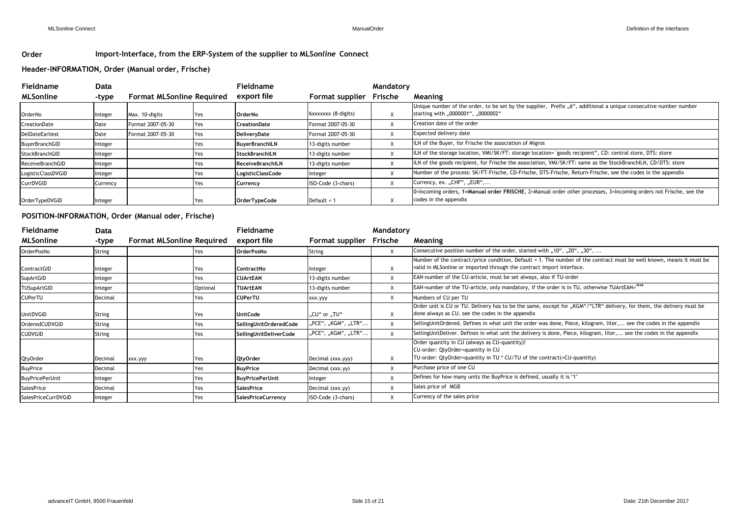### **Order Import-Interface, from the ERP-System of the supplier to MLS***online* **Connect**

#### **Header-INFORMATION, Order (Manual order, Frische)**

| <b>Fieldname</b>       | Data     |                                  |     | Fieldname               |                     | Mandatory |                                                                                                                                                        |
|------------------------|----------|----------------------------------|-----|-------------------------|---------------------|-----------|--------------------------------------------------------------------------------------------------------------------------------------------------------|
| <b>MLSonline</b>       | -type    | <b>Format MLSonline Required</b> |     | export file             | Format supplier     | Frische   | Meaning                                                                                                                                                |
| OrderNo                | Integer  | Max. 10-digits                   | Yes | OrderNo                 | 6xxxxxxx (8-digits) |           | Unique number of the order, to be set by the supplier, Prefix "6", additional a unique consecutive number number<br>starting with "0000001", "0000002" |
| CreationDate           | Date     | Format 2007-05-30                | Yes | <b>CreationDate</b>     | Format 2007-05-30   | $\lambda$ | Creation date of the order                                                                                                                             |
| <b>DelDateEarliest</b> | Date     | Format 2007-05-30                | Yes | DeliveryDate            | Format 2007-05-30   | $\lambda$ | Expected delivery date                                                                                                                                 |
| <b>BuyerBranchGID</b>  | Integer  |                                  | Yes | <b>BuyerBranchILN</b>   | 13-digits number    |           | ILN of the Buyer, for Frische the association of Migros                                                                                                |
| StockBranchGID         | Integer  |                                  | Yes | <b>StockBranchILN</b>   | 13-digits number    |           | ILN of the storage location, VMI/SK/FT: storage location="goods recipient", CD: central store, DTS: store                                              |
| ReceiveBranchGID       | Integer  |                                  | Yes | <b>ReceiveBranchILN</b> | 13-digits number    | $\lambda$ | ILN of the goods recipient, for Frische the association, VMI/SK/FT: same as the StockBranchILN, CD/DTS: store                                          |
| LogisticClassDVGID     | Integer  |                                  | Yes | LogisticClassCode       | Integer             | $\lambda$ | Number of the process: SK/FT-Frische, CD-Frische, DTS-Frische, Return-Frische, see the codes in the appendix                                           |
| CurrDVGID              | Currency |                                  | Yes | Currency                | ISO-Code (3-chars)  | $\lambda$ | Currency, ex. "CHF", "EUR",                                                                                                                            |
| OrderTypeDVGID         | Integer  |                                  | Yes | OrderTypeCode           | Default = $1$       |           | 0=Incoming orders, 1=Manual order FRISCHE, 2=Manual order other processes, 3=Incoming orders not Frische, see the<br>codes in the appendix             |

#### **POSITION-INFORMATION, Order (Manual oder, Frische)**

| Fieldname              | <b>Data</b>   |                                  |          | Fieldname                 |                     | Mandatory |                                                                                                                                                                                               |
|------------------------|---------------|----------------------------------|----------|---------------------------|---------------------|-----------|-----------------------------------------------------------------------------------------------------------------------------------------------------------------------------------------------|
| <b>MLSonline</b>       | -type         | <b>Format MLSonline Required</b> |          | export file               | Format supplier     | Frische   | Meaning                                                                                                                                                                                       |
| OrderPosNo             | String        | Yes                              |          | <b>OrderPosNo</b>         | String              | X         | Consecutive position number of the order, started with "10", "20", "30",                                                                                                                      |
| ContractGID            | Integer       | Yes.                             |          | <b>ContractNo</b>         | Integer             |           | Number of the contract/price condition, Default = 1. The number of the contract must be well known, means it must be<br>valid in MLSonline or imported through the contract import interface. |
| SupArtGID              | Integer       | Yes.                             |          | <b>CUArtEAN</b>           | 13-digits number    |           | EAN-number of the CU-article, must be set always, also if TU-order                                                                                                                            |
| TUSupArtGID            | Integer       |                                  | Optional | <b>TUArtEAN</b>           | 13-digits number    |           | EAN-number of the TU-article, only mandatory, if the order is in TU, otherwise TUArtEAN=""                                                                                                    |
| <b>CUPerTU</b>         | Decimal       | Yes.                             |          | <b>CUPerTU</b>            | xxx.yyy             | X         | Numbers of CU per TU                                                                                                                                                                          |
| UnitDVGID              | <b>String</b> | Yes                              |          | <b>UnitCode</b>           | "CU" or "TU"        | х         | Order unit is CU or TU. Delivery has to be the same, except for "KGM"/"LTR" delivery, for them, the delivery must be<br>done always as CU. see the codes in the appendix                      |
| OrderedCUDVGID         | <b>String</b> | Yes                              |          | SellingUnitOrderedCode    | "PCE", "KGM", "LTR" |           | SellingUnitOrdered. Defines in what unit the order was done, Piece, kilogram, liter, see the codes in the appendix                                                                            |
| <b>CUDVGID</b>         | String        | Yes                              |          | SellingUnitDeliverCode    | "PCE", "KGM", "LTR" |           | SellingUnitDeliver. Defines in what unit the delivery is done, Piece, kilogram, liter, see the codes in the appendix                                                                          |
| <b>QtyOrder</b>        | Decimal       | xxx.yyy<br>Yes                   |          | <b>QtyOrder</b>           | Decimal (xxx.yyy)   | X         | Order quantity in CU (always as CU-quantity)!<br>CU-order: QtyOrder=quantity in CU<br>TU-order: QtyOrder=quantity in TU * CU/TU of the contract(=CU-quantity)                                 |
| <b>BuyPrice</b>        | Decimal       | Yes                              |          | <b>BuyPrice</b>           | Decimal (xxx.yy)    | X         | Purchase price of one CU                                                                                                                                                                      |
| <b>BuyPricePerUnit</b> | Integer       | Yes                              |          | <b>BuyPricePerUnit</b>    | Integer             |           | Defines for how many units the BuyPrice is defined, usually it is "1"                                                                                                                         |
| SalesPrice             | Decimal       | Yes                              |          | <b>SalesPrice</b>         | Decimal (xxx.yy)    |           | Sales price of MGB                                                                                                                                                                            |
| SalesPriceCurrDVGID    | Integer       | Yes                              |          | <b>SalesPriceCurrency</b> | ISO-Code (3-chars)  |           | Currency of the sales price                                                                                                                                                                   |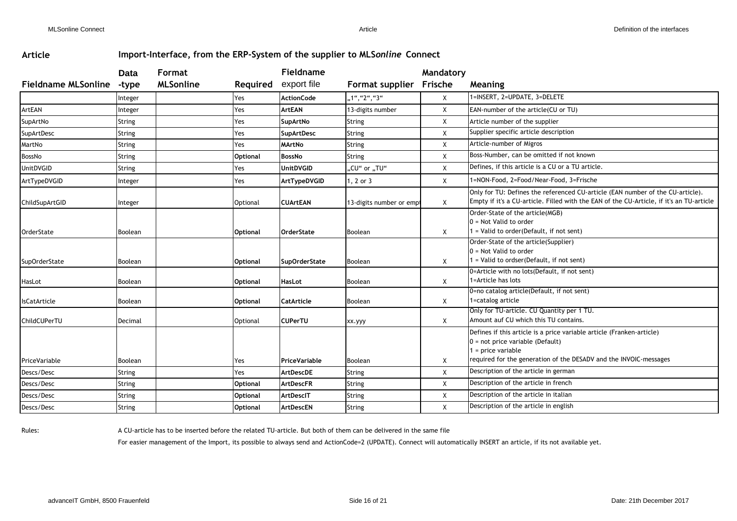## **Article Import-Interface, from the ERP-System of the supplier to MLS***online* **Connect**

|                            | Data           | <b>Format</b>    |                 | Fieldname            |                         | Mandatory |                                                                                                                                                                            |
|----------------------------|----------------|------------------|-----------------|----------------------|-------------------------|-----------|----------------------------------------------------------------------------------------------------------------------------------------------------------------------------|
| <b>Fieldname MLSonline</b> | -type          | <b>MLSonline</b> | Required        | export file          | Format supplier Frische |           | Meaning                                                                                                                                                                    |
|                            | Integer        |                  | Yes             | <b>ActionCode</b>    | "1", "2", "3"           | X         | 1=INSERT, 2=UPDATE, 3=DELETE                                                                                                                                               |
| ArtEAN                     | Integer        |                  | Yes             | <b>ArtEAN</b>        | 13-digits number        | X         | EAN-number of the article(CU or TU)                                                                                                                                        |
| SupArtNo                   | <b>String</b>  |                  | Yes             | SupArtNo             | <b>String</b>           | X         | Article number of the supplier                                                                                                                                             |
| SupArtDesc                 | <b>String</b>  |                  | Yes             | <b>SupArtDesc</b>    | String                  | X         | Supplier specific article description                                                                                                                                      |
| MartNo                     | <b>String</b>  |                  | Yes             | <b>MArtNo</b>        | <b>String</b>           | X         | Article-number of Migros                                                                                                                                                   |
| BossNo                     | <b>String</b>  |                  | <b>Optional</b> | <b>BossNo</b>        | <b>String</b>           | X         | Boss-Number, can be omitted if not known                                                                                                                                   |
| UnitDVGID                  | <b>String</b>  |                  | Yes             | <b>UnitDVGID</b>     | "CU" or "TU"            | X         | Defines, if this article is a CU or a TU article.                                                                                                                          |
| ArtTypeDVGID               | Integer        |                  | Yes             | ArtTypeDVGID         | 1, 2 or 3               | X         | 1=NON-Food, 2=Food/Near-Food, 3=Frische                                                                                                                                    |
| ChildSupArtGID             | Integer        |                  | Optional        | <b>CUArtEAN</b>      | 13-digits number or emp | X         | Only for TU: Defines the referenced CU-article (EAN number of the CU-article).<br>Empty if it's a CU-article. Filled with the EAN of the CU-Article, if it's an TU-article |
| OrderState                 | Boolean        |                  | <b>Optional</b> | <b>OrderState</b>    | Boolean                 | X         | Order-State of the article(MGB)<br>$0 = Not$ Valid to order<br>I = Valid to order(Default, if not sent)                                                                    |
| <b>SupOrderState</b>       | Boolean        |                  | <b>Optional</b> | <b>SupOrderState</b> | <b>Boolean</b>          | X         | Order-State of the article(Supplier)<br>$0 = Not$ Valid to order<br>1 = Valid to ordser(Default, if not sent)                                                              |
| HasLot                     | <b>Boolean</b> |                  | <b>Optional</b> | HasLot               | Boolean                 | X         | 0=Article with no lots (Default, if not sent)<br>1=Article has lots                                                                                                        |
| <b>IsCatArticle</b>        | Boolean        |                  | <b>Optional</b> | <b>CatArticle</b>    | Boolean                 | X         | 0=no catalog article(Default, if not sent)<br>1=catalog article                                                                                                            |
| ChildCUPerTU               | Decimal        |                  | Optional        | <b>CUPerTU</b>       | xx.yyy                  | X         | Only for TU-article. CU Quantity per 1 TU.<br>Amount auf CU which this TU contains.                                                                                        |
|                            |                |                  |                 |                      |                         |           | Defines if this article is a price variable article (Franken-article)<br>$0 = not price variable (Default)$<br>1 = price variable                                          |
| PriceVariable              | Boolean        |                  | Yes             | <b>PriceVariable</b> | Boolean                 | X         | required for the generation of the DESADV and the INVOIC-messages                                                                                                          |
| Descs/Desc                 | String         |                  | Yes             | <b>ArtDescDE</b>     | <b>String</b>           | X         | Description of the article in german                                                                                                                                       |
| Descs/Desc                 | <b>String</b>  |                  | <b>Optional</b> | <b>ArtDescFR</b>     | <b>String</b>           | X         | Description of the article in french                                                                                                                                       |
| Descs/Desc                 | <b>String</b>  |                  | <b>Optional</b> | ArtDescIT            | <b>String</b>           | X         | Description of the article in italian                                                                                                                                      |
| Descs/Desc                 | <b>String</b>  |                  | <b>Optional</b> | <b>ArtDescEN</b>     | String                  | X         | Description of the article in english                                                                                                                                      |

Rules: A CU-article has to be inserted before the related TU-article. But both of them can be delivered in the same file

For easier management of the Import, its possible to always send and ActionCode=2 (UPDATE). Connect will automatically INSERT an article, if its not available yet.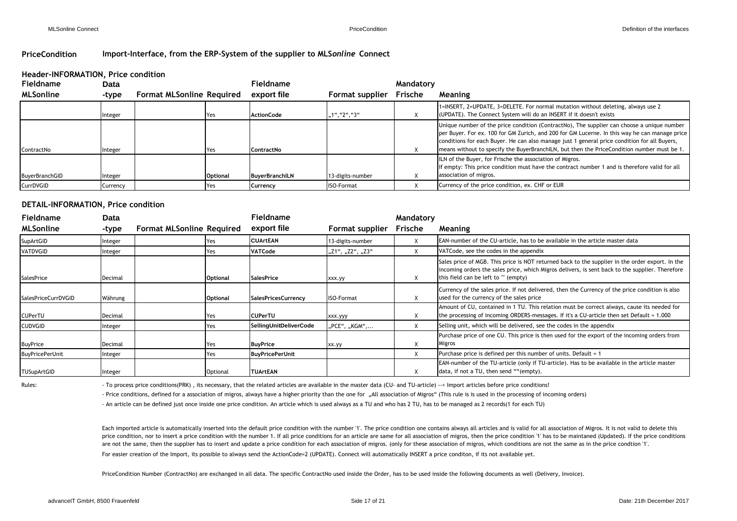#### **PriceCondition Import-Interface, from the ERP-System of the supplier to MLS***online* **Connect**

#### **Header-INFORMATION, Price condition**

| <b>Fieldname</b> | Data     |                                  |                 | Fieldname             |                   | Mandatory |                                                                                                                                                                                                                                                                                                                                                                                           |
|------------------|----------|----------------------------------|-----------------|-----------------------|-------------------|-----------|-------------------------------------------------------------------------------------------------------------------------------------------------------------------------------------------------------------------------------------------------------------------------------------------------------------------------------------------------------------------------------------------|
| <b>MLSonline</b> | -type    | <b>Format MLSonline Required</b> |                 | export file           | Format supplier   | Frische   | Meaning                                                                                                                                                                                                                                                                                                                                                                                   |
|                  | Integer  |                                  | Yes             | <b>ActionCode</b>     | ,1", "2", "3"     |           | 1=INSERT, 2=UPDATE, 3=DELETE. For normal mutation without deleting, always use 2<br>(UPDATE). The Connect System will do an INSERT if it doesn't exists                                                                                                                                                                                                                                   |
| ContractNo       | Integer  |                                  | Yes             | <b>ContractNo</b>     |                   | X         | Unique number of the price condition (ContractNo), The supplier can choose a unique number<br>per Buyer. For ex. 100 for GM Zurich, and 200 for GM Lucerne. In this way he can manage price<br>conditions for each Buyer. He can also manage just 1 general price condition for all Buyers,<br>means without to specify the BuyerBranchILN, but then the PriceCondition number must be 1. |
| BuyerBranchGID   | Integer  |                                  | <b>Optional</b> | <b>BuyerBranchILN</b> | 13-digits-number  |           | ILN of the Buyer, for Frische the association of Migros.<br>If empty: This price condition must have the contract number 1 and is therefore valid for all<br>association of migros.                                                                                                                                                                                                       |
| CurrDVGID        | Currency |                                  | Yes             | Currency              | <b>ISO-Format</b> |           | Currency of the price condition, ex. CHF or EUR                                                                                                                                                                                                                                                                                                                                           |

#### **DETAIL-INFORMATION, Price condition**

| <b>Fieldname</b>           | Data    |                                  |                 | Fieldname                  |                   | Mandatory |                                                                                                                                                                                                                                            |
|----------------------------|---------|----------------------------------|-----------------|----------------------------|-------------------|-----------|--------------------------------------------------------------------------------------------------------------------------------------------------------------------------------------------------------------------------------------------|
| <b>MLSonline</b>           | -type   | <b>Format MLSonline Required</b> |                 | export file                | Format supplier   | Frische   | Meaning                                                                                                                                                                                                                                    |
| SupArtGID                  | nteger  |                                  | res             | <b>CUArtEAN</b>            | 13-digits-number  |           | EAN-number of the CU-article, has to be available in the article master data                                                                                                                                                               |
| VATDVGID                   | nteger  |                                  | Yes             | VATCode                    | "Z1", "Z2", "Z3"  | X         | VATCode, see the codes in the appendix                                                                                                                                                                                                     |
| SalesPrice                 | Decimal |                                  | <b>Optional</b> | <b>SalesPrice</b>          | xxx.yy            | X         | Sales price of MGB. This price is NOT returned back to the supplier in the order export. In the<br>incoming orders the sales price, which Migros delivers, is sent back to the supplier. Therefore<br>this field can be left to "" (empty) |
| <b>SalesPriceCurrDVGID</b> | Währung |                                  | <b>Optional</b> | <b>SalesPricesCurrency</b> | <b>ISO-Format</b> | X         | Currency of the sales price. If not delivered, then the Currency of the price condition is also<br>used for the currency of the sales price                                                                                                |
| <b>CUPerTU</b>             | Decimal |                                  | Yes             | <b>CUPerTU</b>             | xxx.yyy           | X         | Amount of CU, contained in 1 TU. This relation must be correct always, cause its needed for<br>the processing of incoming ORDERS-messages. If it's a CU-article then set Default = 1.000                                                   |
| <b>CUDVGID</b>             | nteger  |                                  | Yes             | SellingUnitDeliverCode     | "PCE", "KGM",     | X         | Selling unit, which will be delivered, see the codes in the appendix                                                                                                                                                                       |
| <b>BuyPrice</b>            | Decimal |                                  | Yes             | <b>BuyPrice</b>            | xx.yy             | X         | Purchase price of one CU. This price is then used for the export of the incoming orders from<br>Migros                                                                                                                                     |
| <b>BuyPricePerUnit</b>     | nteger  |                                  | Yes             | <b>BuyPricePerUnit</b>     |                   | X         | Purchase price is defined per this number of units. Default = 1                                                                                                                                                                            |
| <b>TUSupArtGID</b>         | nteger  |                                  | Optional        | <b>TUArtEAN</b>            |                   | X         | <b>EAN-number of the TU-article (only if TU-article). Has to be available in the article master</b><br>data, if not a TU, then send ""(empty).                                                                                             |

Rules: To process price conditions(PRK), its necessary, that the related articles are available in the master data (CU- and TU-article) --> Import articles before price conditions!

- Price conditions, defined for a association of migros, always have a higher priority than the one for "All association of Migros" (This rule is is used in the processing of incoming orders)

- An article can be defined just once inside one price condition. An article which is used always as a TU and who has 2 TU, has to be managed as 2 records(1 for each TU)

Each imported article is automatically inserted into the default price condition with the number '1'. The price condition one contains always all articles and is valid for all association of Migros. It is not valid to dele price condition, nor to insert a price condition with the number 1. If all price conditions for an article are same for all association of migros, then the price condition '1' has to be maintaned (Updated). If the price co are not the same, then the supplier has to insert and update a price condition for each association of migros. (only for these association of migros, which conditions are not the same as in the price condtion '1'.

For easier creation of the Import, its possible to always send the ActionCode=2 (UPDATE). Connect will automatically INSERT a price conditon, if its not available yet.

PriceCondition Number (ContractNo) are exchanged in all data. The specific ContractNo used inside the Order, has to be used inside the following documents as well (Delivery, Invoice).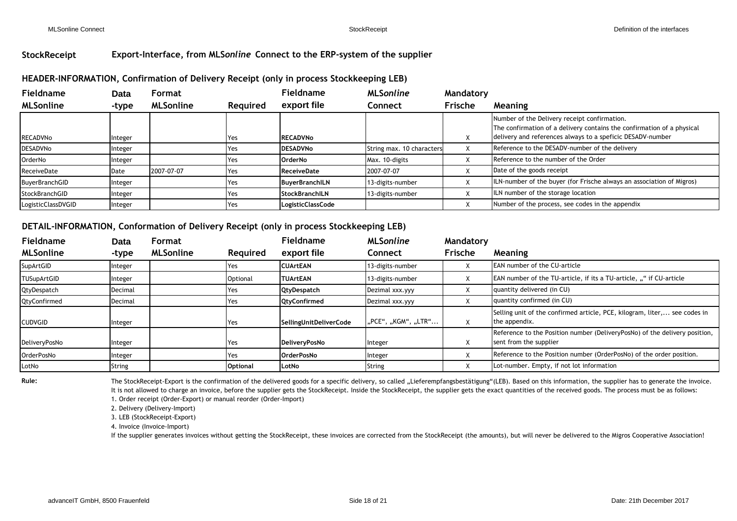## **StockReceipt Export-Interface, from MLS***online* **Connect to the ERP-system of the supplier**

# **HEADER-INFORMATION, Confirmation of Delivery Receipt (only in process Stockkeeping LEB) Format**

| <b>Fieldname</b>      | Data    | Format           |          | Fieldname                | <b>MLSonline</b>          | Mandatory   |                                                                                                                                                                                      |
|-----------------------|---------|------------------|----------|--------------------------|---------------------------|-------------|--------------------------------------------------------------------------------------------------------------------------------------------------------------------------------------|
| <b>MLSonline</b>      | -type   | <b>MLSonline</b> | Required | export file              | Connect                   | Frische     | <b>Meaning</b>                                                                                                                                                                       |
| <b>RECADVNo</b>       | Integer |                  | Yes      | <b>RECADVNo</b>          |                           | $\lambda$   | Number of the Delivery receipt confirmation.<br>The confirmation of a delivery contains the confirmation of a physical<br>delivery and references always to a speficic DESADV-number |
| <b>DESADVNo</b>       | Integer |                  | Yes      | <b>DESADVNo</b>          | String max. 10 characters | X           | Reference to the DESADV-number of the delivery                                                                                                                                       |
| OrderNo               | Integer |                  | Yes      | <b>OrderNo</b>           | Max. 10-digits            | $\mathbf v$ | Reference to the number of the Order                                                                                                                                                 |
| ReceiveDate           | Date    | 2007-07-07       | Yes      | <b>ReceiveDate</b>       | 2007-07-07                |             | Date of the goods receipt                                                                                                                                                            |
| <b>BuyerBranchGID</b> | Integer |                  | Yes      | <b>BuyerBranchILN</b>    | 13-digits-number          |             | ILN-number of the buyer (for Frische always an association of Migros)                                                                                                                |
| StockBranchGID        | Integer |                  | Yes      | <b>StockBranchILN</b>    | 13-digits-number          |             | ILN number of the storage location                                                                                                                                                   |
| LogisticClassDVGID    | Integer |                  | Yes      | <b>LogisticClassCode</b> |                           |             | Number of the process, see codes in the appendix                                                                                                                                     |

# **DETAIL-INFORMATION, Conformation of Delivery Receipt (only in process Stockkeeping LEB) Format**

| Fieldname          | <b>Data</b> | <b>Format</b>    |                 | Fieldname              | <b>MLSonline</b>    | Mandatory         |                                                                                                      |
|--------------------|-------------|------------------|-----------------|------------------------|---------------------|-------------------|------------------------------------------------------------------------------------------------------|
| <b>MLSonline</b>   | -type       | <b>MLSonline</b> | Required        | export file            | Connect             | Frische           | <b>Meaning</b>                                                                                       |
| SupArtGID          | าteger      |                  | Yes             | <b>CUArtEAN</b>        | 13-digits-number    | X                 | <b>EAN number of the CU-article</b>                                                                  |
| <b>TUSupArtGID</b> | าteger      |                  | Optional        | <b>ITUArtEAN</b>       | 13-digits-number    | v                 | <b>EAN</b> number of the TU-article, if its a TU-article, "" if CU-article                           |
| QtyDespatch        | Decimal     |                  | Yes             | QtyDespatch            | Dezimal xxx.yyy     | X                 | quantity delivered (in CU)                                                                           |
| QtyConfirmed       | Decimal     |                  | Yes             | <b>QtyConfirmed</b>    | Dezimal xxx.yyy     | X                 | quantity confirmed (in CU)                                                                           |
| <b>CUDVGID</b>     | nteger      |                  | Yes             | SellingUnitDeliverCode | "PCE", "KGM", "LTR" | X                 | Selling unit of the confirmed article, PCE, kilogram, liter, see codes in<br>the appendix.           |
| DeliveryPosNo      | าteger      |                  | Yes             | DeliveryPosNo          | Integer             | $\lambda$         | Reference to the Position number (DeliveryPosNo) of the delivery position,<br>sent from the supplier |
| OrderPosNo         | nteger      |                  | Yes             | <b>OrderPosNo</b>      | Integer             | $\mathbf{v}$<br>⌒ | Reference to the Position number (OrderPosNo) of the order position.                                 |
| LotNo              | String      |                  | <b>Optional</b> | LotNo                  | <b>String</b>       |                   | Lot-number. Empty, if not lot information                                                            |

Rule: The StockReceipt-Export is the confirmation of the delivered goods for a specific delivery, so called "Lieferempfangsbestätigung"(LEB). Based on this information, the supplier has to generate the invoice. It is not allowed to charge an invoice, before the supplier gets the StockReceipt. Inside the StockReceipt, the supplier gets the exact quantities of the received goods. The process must be as follows: 1. Order receipt (Order-Export) or manual reorder (Order-Import)

2. Delivery (Delivery-Import)

3. LEB (StockReceipt-Export)

4. Invoice (Invoice-Import)

If the supplier generates invoices without getting the StockReceipt, these invoices are corrected from the StockReceipt (the amounts), but will never be delivered to the Migros Cooperative Association!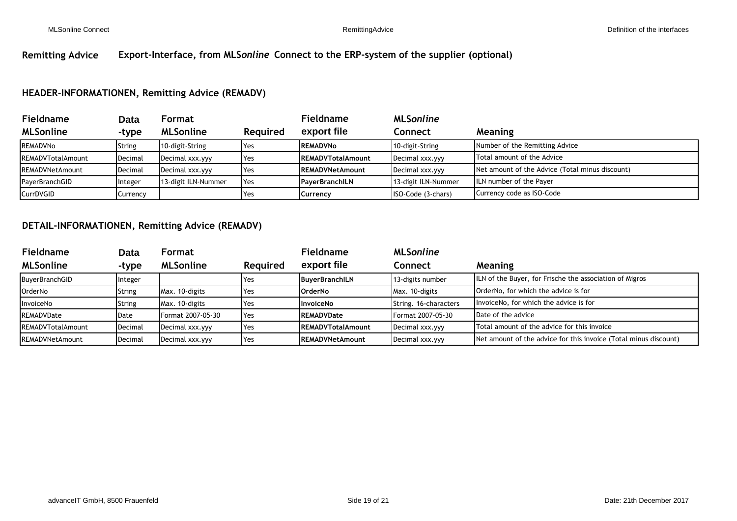# **Remitting Advice Export-Interface, from MLS***online* **Connect to the ERP-system of the supplier (optional)**

## **HEADER-INFORMATIONEN, Remitting Advice (REMADV)**

| <b>Fieldname</b>         | <b>Data</b> | Format              |                 | Fieldname                | <b>MLSonline</b>    |                                                 |
|--------------------------|-------------|---------------------|-----------------|--------------------------|---------------------|-------------------------------------------------|
| <b>MLSonline</b>         | -type       | <b>MLSonline</b>    | <b>Reguired</b> | export file              | Connect             | <b>Meaning</b>                                  |
| REMADVNo                 | String      | 10-digit-String     | Yes             | <b>REMADVNo</b>          | 10-digit-String     | Number of the Remitting Advice                  |
| <b>REMADVTotalAmount</b> | Decimal     | Decimal xxx.yyy     | <b>Yes</b>      | <b>REMADVTotalAmount</b> | Decimal xxx.yyy     | Total amount of the Advice                      |
| <b>REMADVNetAmount</b>   | Decimal     | Decimal xxx.yyy     | <b>Yes</b>      | <b>REMADVNetAmount</b>   | Decimal xxx.yyy     | Net amount of the Advice (Total minus discount) |
| PayerBranchGID           | Integer     | 13-digit ILN-Nummer | <b>I</b> Yes    | PayerBranchILN           | 13-digit ILN-Nummer | ILN number of the Payer                         |
| CurrDVGID                | Currency    |                     | 'Yes            | Currency                 | ISO-Code (3-chars)  | Currency code as ISO-Code                       |

## **DETAIL-INFORMATIONEN, Remitting Advice (REMADV)**

| <b>Fieldname</b>         | Data    | Format            |                 | <b>Fieldname</b>          | <b>MLSonline</b>      |                                                                  |
|--------------------------|---------|-------------------|-----------------|---------------------------|-----------------------|------------------------------------------------------------------|
| <b>MLSonline</b>         | -type   | <b>MLSonline</b>  | <b>Reguired</b> | export file               | Connect               | <b>Meaning</b>                                                   |
| BuyerBranchGID           | Integer |                   | <b>Yes</b>      | BuyerBranchILN            | 13-digits number      | ILN of the Buyer, for Frische the association of Migros          |
| <b>OrderNo</b>           | String  | Max. 10-digits    | <b>I</b> Yes    | <b>OrderNo</b>            | Max. 10-digits        | OrderNo, for which the advice is for                             |
| InvoiceNo                | String  | Max. 10-digits    | <b>Yes</b>      | <b>InvoiceNo</b>          | String. 16-characters | InvoiceNo, for which the advice is for                           |
| REMADVDate               | Date    | Format 2007-05-30 | 'Yes            | <b>REMADVDate</b>         | Format 2007-05-30     | Date of the advice                                               |
| <b>REMADVTotalAmount</b> | Decimal | Decimal xxx.yyy   | 'Yes            | <b>IREMADVTotalAmount</b> | Decimal xxx.yyy       | Total amount of the advice for this invoice                      |
| <b>REMADVNetAmount</b>   | Decimal | Decimal xxx.yyy   | 'Yes            | <b>IREMADVNetAmount</b>   | Decimal xxx.yyy       | Net amount of the advice for this invoice (Total minus discount) |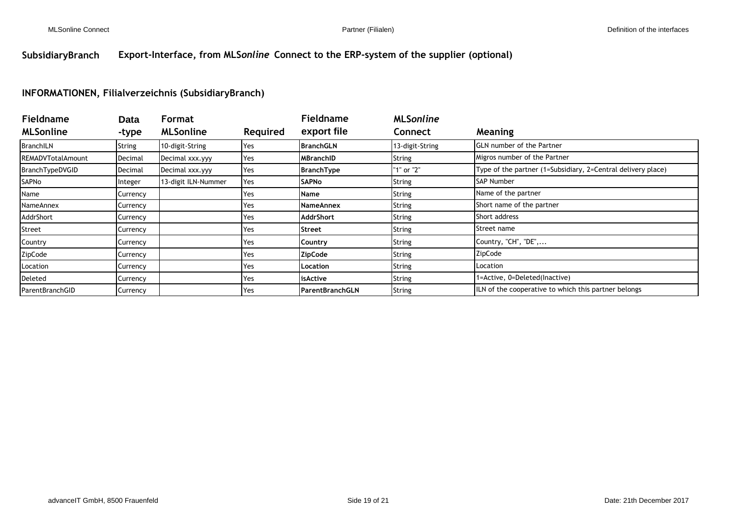# **SubsidiaryBranch Export-Interface, from MLS***online* **Connect to the ERP-system of the supplier (optional)**

## **INFORMATIONEN, Filialverzeichnis (SubsidiaryBranch)**

| <b>Fieldname</b>          | <b>Data</b> | Format              |                 | <b>Fieldname</b>        | <b>MLSonline</b> |                                                              |
|---------------------------|-------------|---------------------|-----------------|-------------------------|------------------|--------------------------------------------------------------|
| <b>MLSonline</b>          | -type       | <b>MLSonline</b>    | <b>Required</b> | export file             | Connect          | Meaning                                                      |
| <b>BranchILN</b>          | String      | 10-digit-String     | Yes             | <b>BranchGLN</b>        | 13-digit-String  | <b>GLN</b> number of the Partner                             |
| <b>IREMADVTotalAmount</b> | Decimal     | Decimal xxx.yyy     | Yes             | <b>MBranchID</b>        | String           | Migros number of the Partner                                 |
| BranchTypeDVGID           | Decimal     | Decimal xxx.yyy     | Yes             | <b>BranchType</b>       | "1" or "2"       | Type of the partner (1=Subsidiary, 2=Central delivery place) |
| SAPNo                     | Integer     | 13-digit ILN-Nummer | Yes             | <b>SAPNo</b>            | String           | <b>SAP Number</b>                                            |
| Name                      | Currency    |                     | Yes             | <b>Name</b>             | String           | Name of the partner                                          |
| NameAnnex                 | Currency    |                     | Yes             | NameAnnex               | String           | Short name of the partner                                    |
| AddrShort                 | Currency    |                     | Yes             | <b>AddrShort</b>        | String           | Short address                                                |
| Street                    | Currency    |                     | Yes             | Street                  | String           | Street name                                                  |
| Country                   | Currency    |                     | Yes             | Country                 | String           | Country, "CH", "DE",                                         |
| ZipCode                   | Currency    |                     | Yes             | <b>ZipCode</b>          | String           | ZipCode                                                      |
| Location                  | Currency    |                     | Yes             | Location                | String           | Location                                                     |
| Deleted                   | Currency    |                     | Yes             | <b>isActive</b>         | String           | 1=Active, 0=Deleted(Inactive)                                |
| <b>ParentBranchGID</b>    | Currency    |                     | Yes             | <b>IParentBranchGLN</b> | String           | ILN of the cooperative to which this partner belongs         |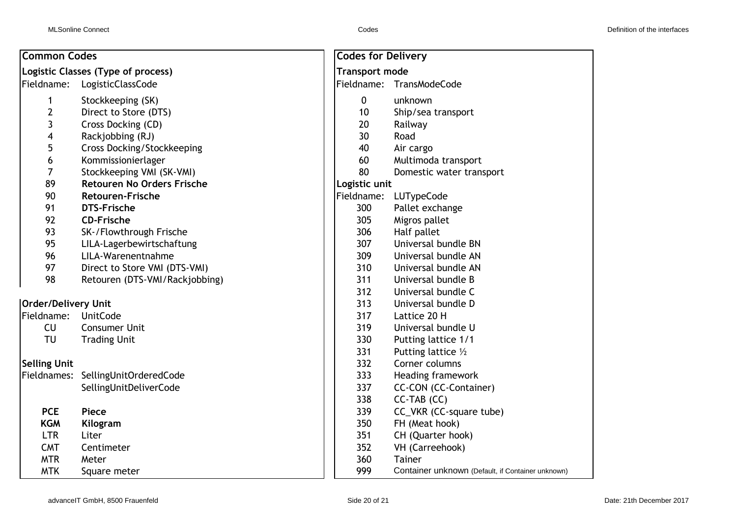| <b>Common Codes</b>        |                                    | <b>Codes for Delivery</b> |                                                   |  |  |
|----------------------------|------------------------------------|---------------------------|---------------------------------------------------|--|--|
|                            | Logistic Classes (Type of process) | <b>Transport mode</b>     |                                                   |  |  |
| Fieldname:                 | LogisticClassCode                  | Fieldname:                | TransModeCode                                     |  |  |
| 1                          | Stockkeeping (SK)                  | $\mathbf 0$               | unknown                                           |  |  |
| $\mathbf{2}$               | Direct to Store (DTS)              | 10                        | Ship/sea transport                                |  |  |
| 3                          | Cross Docking (CD)                 | 20                        | Railway                                           |  |  |
| 4                          | Rackjobbing (RJ)                   | 30                        | Road                                              |  |  |
| 5                          | <b>Cross Docking/Stockkeeping</b>  | 40                        | Air cargo                                         |  |  |
| 6                          | Kommissionierlager                 | 60                        | Multimoda transport                               |  |  |
| $\overline{7}$             | Stockkeeping VMI (SK-VMI)          | 80                        | Domestic water transport                          |  |  |
| 89                         | <b>Retouren No Orders Frische</b>  | Logistic unit             |                                                   |  |  |
| 90                         | <b>Retouren-Frische</b>            | Fieldname:                | LUTypeCode                                        |  |  |
| 91                         | <b>DTS-Frische</b>                 | 300                       | Pallet exchange                                   |  |  |
| 92                         | <b>CD-Frische</b>                  | 305                       | Migros pallet                                     |  |  |
| 93                         | SK-/Flowthrough Frische            | 306                       | Half pallet                                       |  |  |
| 95                         | LILA-Lagerbewirtschaftung          | 307                       | Universal bundle BN                               |  |  |
| 96                         | LILA-Warenentnahme                 | 309                       | Universal bundle AN                               |  |  |
| 97                         | Direct to Store VMI (DTS-VMI)      | 310                       | Universal bundle AN                               |  |  |
| 98                         | Retouren (DTS-VMI/Rackjobbing)     | 311                       | Universal bundle B                                |  |  |
|                            |                                    | 312                       | Universal bundle C                                |  |  |
| <b>Order/Delivery Unit</b> |                                    | 313                       | Universal bundle D                                |  |  |
| Fieldname:                 | <b>UnitCode</b>                    | 317                       | Lattice 20 H                                      |  |  |
| CU                         | <b>Consumer Unit</b>               | 319                       | Universal bundle U                                |  |  |
| TU                         | <b>Trading Unit</b>                | 330                       | Putting lattice 1/1                               |  |  |
|                            |                                    | 331                       | Putting lattice 1/2                               |  |  |
| <b>Selling Unit</b>        |                                    | 332                       | Corner columns                                    |  |  |
|                            | Fieldnames: SellingUnitOrderedCode | 333                       | Heading framework                                 |  |  |
|                            | SellingUnitDeliverCode             | 337                       | CC-CON (CC-Container)                             |  |  |
|                            |                                    | 338                       | CC-TAB (CC)                                       |  |  |
| <b>PCE</b>                 | <b>Piece</b>                       | 339                       | CC_VKR (CC-square tube)                           |  |  |
| <b>KGM</b>                 | Kilogram                           | 350                       | FH (Meat hook)                                    |  |  |
| <b>LTR</b>                 | Liter                              | 351                       | CH (Quarter hook)                                 |  |  |
| <b>CMT</b>                 | Centimeter                         | 352                       | VH (Carreehook)                                   |  |  |
| <b>MTR</b>                 | Meter                              | 360                       | <b>Tainer</b>                                     |  |  |
| <b>MTK</b>                 | Square meter                       | 999                       | Container unknown (Default, if Container unknown) |  |  |